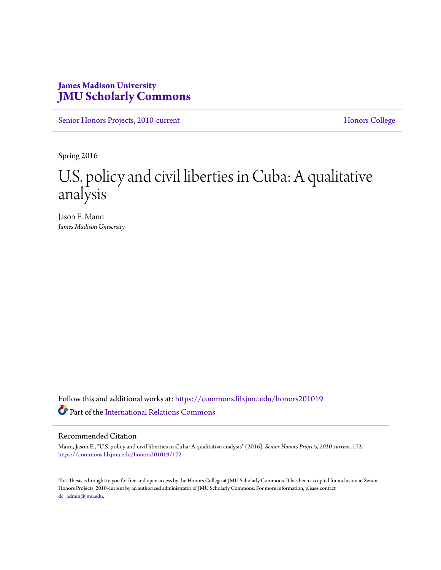# **James Madison University [JMU Scholarly Commons](https://commons.lib.jmu.edu/?utm_source=commons.lib.jmu.edu%2Fhonors201019%2F172&utm_medium=PDF&utm_campaign=PDFCoverPages)**

[Senior Honors Projects, 2010-current](https://commons.lib.jmu.edu/honors201019?utm_source=commons.lib.jmu.edu%2Fhonors201019%2F172&utm_medium=PDF&utm_campaign=PDFCoverPages) [Honors College](https://commons.lib.jmu.edu/honors?utm_source=commons.lib.jmu.edu%2Fhonors201019%2F172&utm_medium=PDF&utm_campaign=PDFCoverPages)

Spring 2016

# U.S. policy and civil liberties in Cuba: A qualitative analysis

Jason E. Mann *James Madison University*

Follow this and additional works at: [https://commons.lib.jmu.edu/honors201019](https://commons.lib.jmu.edu/honors201019?utm_source=commons.lib.jmu.edu%2Fhonors201019%2F172&utm_medium=PDF&utm_campaign=PDFCoverPages) Part of the [International Relations Commons](http://network.bepress.com/hgg/discipline/389?utm_source=commons.lib.jmu.edu%2Fhonors201019%2F172&utm_medium=PDF&utm_campaign=PDFCoverPages)

#### Recommended Citation

Mann, Jason E., "U.S. policy and civil liberties in Cuba: A qualitative analysis" (2016). *Senior Honors Projects, 2010-current*. 172. [https://commons.lib.jmu.edu/honors201019/172](https://commons.lib.jmu.edu/honors201019/172?utm_source=commons.lib.jmu.edu%2Fhonors201019%2F172&utm_medium=PDF&utm_campaign=PDFCoverPages)

This Thesis is brought to you for free and open access by the Honors College at JMU Scholarly Commons. It has been accepted for inclusion in Senior Honors Projects, 2010-current by an authorized administrator of JMU Scholarly Commons. For more information, please contact [dc\\_admin@jmu.edu.](mailto:dc_admin@jmu.edu)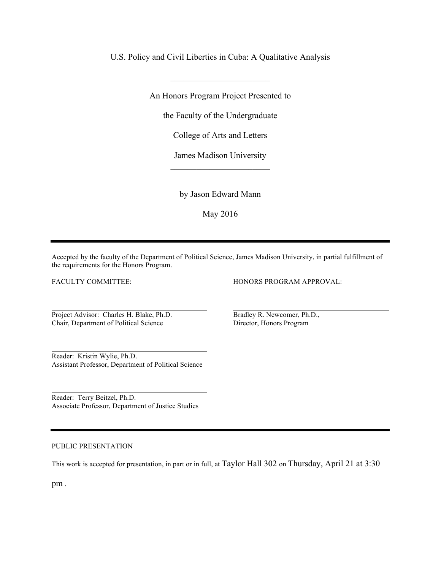U.S. Policy and Civil Liberties in Cuba: A Qualitative Analysis

An Honors Program Project Presented to

 $\mathcal{L}_\text{max}$ 

the Faculty of the Undergraduate

College of Arts and Letters

James Madison University  $\overline{\phantom{a}}$  , where  $\overline{\phantom{a}}$ 

by Jason Edward Mann

May 2016

Accepted by the faculty of the Department of Political Science, James Madison University, in partial fulfillment of the requirements for the Honors Program.

FACULTY COMMITTEE:

Project Advisor: Charles H. Blake, Ph.D. Chair, Department of Political Science

Reader: Kristin Wylie, Ph.D. Assistant Professor, Department of Political Science

Reader: Terry Beitzel, Ph.D. Associate Professor, Department of Justice Studies

#### PUBLIC PRESENTATION

This work is accepted for presentation, in part or in full, at Taylor Hall 302 on Thursday, April 21 at 3:30

pm .

HONORS PROGRAM APPROVAL:

Bradley R. Newcomer, Ph.D., Director, Honors Program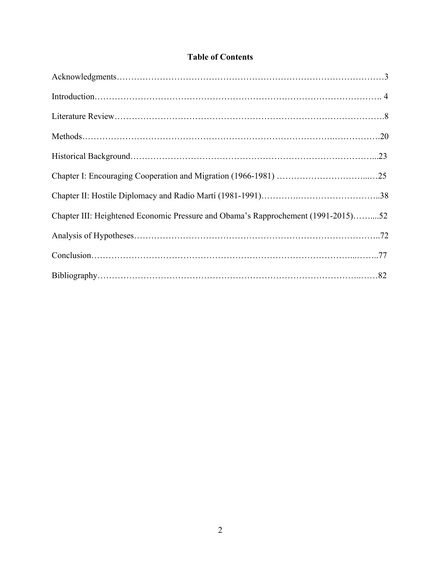# **Table of Contents**

| Chapter III: Heightened Economic Pressure and Obama's Rapprochement (1991-2015)52 |  |
|-----------------------------------------------------------------------------------|--|
|                                                                                   |  |
|                                                                                   |  |
|                                                                                   |  |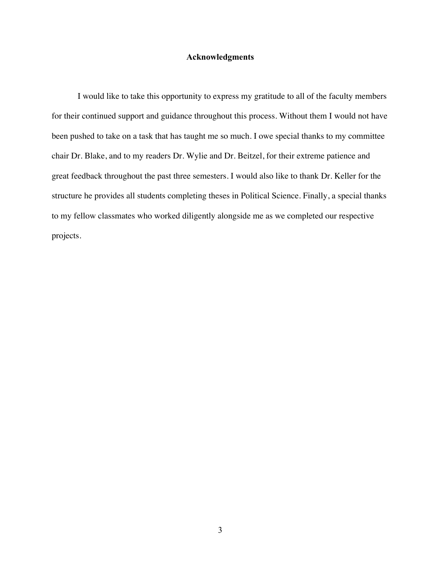## **Acknowledgments**

I would like to take this opportunity to express my gratitude to all of the faculty members for their continued support and guidance throughout this process. Without them I would not have been pushed to take on a task that has taught me so much. I owe special thanks to my committee chair Dr. Blake, and to my readers Dr. Wylie and Dr. Beitzel, for their extreme patience and great feedback throughout the past three semesters. I would also like to thank Dr. Keller for the structure he provides all students completing theses in Political Science. Finally, a special thanks to my fellow classmates who worked diligently alongside me as we completed our respective projects.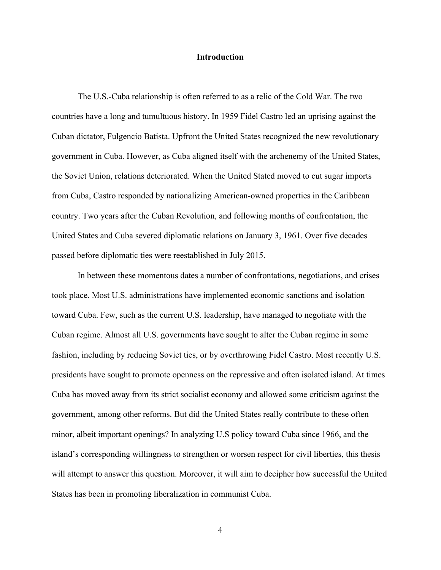### **Introduction**

The U.S.-Cuba relationship is often referred to as a relic of the Cold War. The two countries have a long and tumultuous history. In 1959 Fidel Castro led an uprising against the Cuban dictator, Fulgencio Batista. Upfront the United States recognized the new revolutionary government in Cuba. However, as Cuba aligned itself with the archenemy of the United States, the Soviet Union, relations deteriorated. When the United Stated moved to cut sugar imports from Cuba, Castro responded by nationalizing American-owned properties in the Caribbean country. Two years after the Cuban Revolution, and following months of confrontation, the United States and Cuba severed diplomatic relations on January 3, 1961. Over five decades passed before diplomatic ties were reestablished in July 2015.

In between these momentous dates a number of confrontations, negotiations, and crises took place. Most U.S. administrations have implemented economic sanctions and isolation toward Cuba. Few, such as the current U.S. leadership, have managed to negotiate with the Cuban regime. Almost all U.S. governments have sought to alter the Cuban regime in some fashion, including by reducing Soviet ties, or by overthrowing Fidel Castro. Most recently U.S. presidents have sought to promote openness on the repressive and often isolated island. At times Cuba has moved away from its strict socialist economy and allowed some criticism against the government, among other reforms. But did the United States really contribute to these often minor, albeit important openings? In analyzing U.S policy toward Cuba since 1966, and the island's corresponding willingness to strengthen or worsen respect for civil liberties, this thesis will attempt to answer this question. Moreover, it will aim to decipher how successful the United States has been in promoting liberalization in communist Cuba.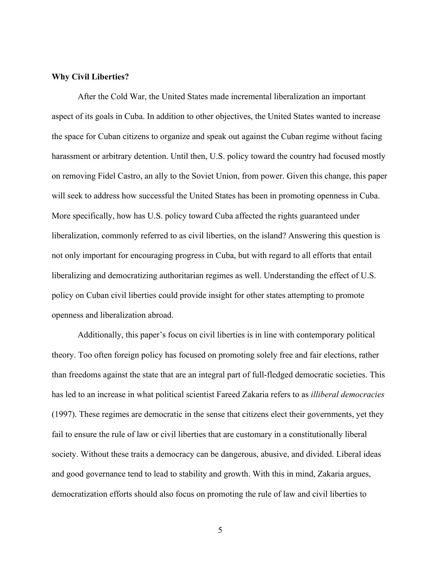### **Why Civil Liberties?**

After the Cold War, the United States made incremental liberalization an important aspect of its goals in Cuba. In addition to other objectives, the United States wanted to increase the space for Cuban citizens to organize and speak out against the Cuban regime without facing harassment or arbitrary detention. Until then, U.S. policy toward the country had focused mostly on removing Fidel Castro, an ally to the Soviet Union, from power. Given this change, this paper will seek to address how successful the United States has been in promoting openness in Cuba. More specifically, how has U.S. policy toward Cuba affected the rights guaranteed under liberalization, commonly referred to as civil liberties, on the island? Answering this question is not only important for encouraging progress in Cuba, but with regard to all efforts that entail liberalizing and democratizing authoritarian regimes as well. Understanding the effect of U.S. policy on Cuban civil liberties could provide insight for other states attempting to promote openness and liberalization abroad.

Additionally, this paper's focus on civil liberties is in line with contemporary political theory. Too often foreign policy has focused on promoting solely free and fair elections, rather than freedoms against the state that are an integral part of full-fledged democratic societies. This has led to an increase in what political scientist Fareed Zakaria refers to as *illiberal democracies* (1997). These regimes are democratic in the sense that citizens elect their governments, yet they fail to ensure the rule of law or civil liberties that are customary in a constitutionally liberal society. Without these traits a democracy can be dangerous, abusive, and divided. Liberal ideas and good governance tend to lead to stability and growth. With this in mind, Zakaria argues, democratization efforts should also focus on promoting the rule of law and civil liberties to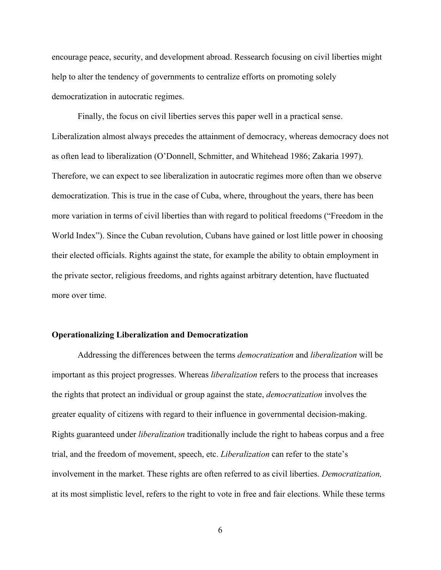encourage peace, security, and development abroad. Ressearch focusing on civil liberties might help to alter the tendency of governments to centralize efforts on promoting solely democratization in autocratic regimes.

Finally, the focus on civil liberties serves this paper well in a practical sense. Liberalization almost always precedes the attainment of democracy, whereas democracy does not as often lead to liberalization (O'Donnell, Schmitter, and Whitehead 1986; Zakaria 1997). Therefore, we can expect to see liberalization in autocratic regimes more often than we observe democratization. This is true in the case of Cuba, where, throughout the years, there has been more variation in terms of civil liberties than with regard to political freedoms ("Freedom in the World Index"). Since the Cuban revolution, Cubans have gained or lost little power in choosing their elected officials. Rights against the state, for example the ability to obtain employment in the private sector, religious freedoms, and rights against arbitrary detention, have fluctuated more over time.

#### **Operationalizing Liberalization and Democratization**

Addressing the differences between the terms *democratization* and *liberalization* will be important as this project progresses. Whereas *liberalization* refers to the process that increases the rights that protect an individual or group against the state, *democratization* involves the greater equality of citizens with regard to their influence in governmental decision-making. Rights guaranteed under *liberalization* traditionally include the right to habeas corpus and a free trial, and the freedom of movement, speech, etc. *Liberalization* can refer to the state's involvement in the market. These rights are often referred to as civil liberties. *Democratization,*  at its most simplistic level, refers to the right to vote in free and fair elections. While these terms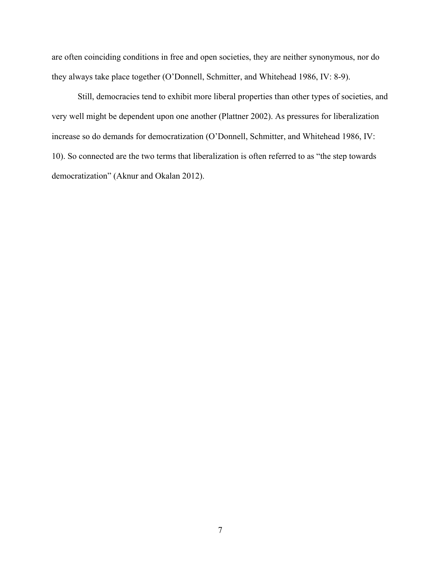are often coinciding conditions in free and open societies, they are neither synonymous, nor do they always take place together (O'Donnell, Schmitter, and Whitehead 1986, IV: 8-9).

Still, democracies tend to exhibit more liberal properties than other types of societies, and very well might be dependent upon one another (Plattner 2002). As pressures for liberalization increase so do demands for democratization (O'Donnell, Schmitter, and Whitehead 1986, IV: 10). So connected are the two terms that liberalization is often referred to as "the step towards democratization" (Aknur and Okalan 2012).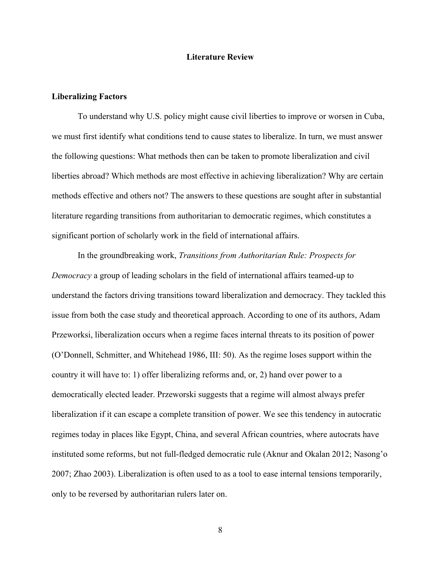### **Literature Review**

# **Liberalizing Factors**

To understand why U.S. policy might cause civil liberties to improve or worsen in Cuba, we must first identify what conditions tend to cause states to liberalize. In turn, we must answer the following questions: What methods then can be taken to promote liberalization and civil liberties abroad? Which methods are most effective in achieving liberalization? Why are certain methods effective and others not? The answers to these questions are sought after in substantial literature regarding transitions from authoritarian to democratic regimes, which constitutes a significant portion of scholarly work in the field of international affairs.

In the groundbreaking work, *Transitions from Authoritarian Rule: Prospects for Democracy* a group of leading scholars in the field of international affairs teamed-up to understand the factors driving transitions toward liberalization and democracy. They tackled this issue from both the case study and theoretical approach. According to one of its authors, Adam Przeworksi, liberalization occurs when a regime faces internal threats to its position of power (O'Donnell, Schmitter, and Whitehead 1986, III: 50). As the regime loses support within the country it will have to: 1) offer liberalizing reforms and, or, 2) hand over power to a democratically elected leader. Przeworski suggests that a regime will almost always prefer liberalization if it can escape a complete transition of power. We see this tendency in autocratic regimes today in places like Egypt, China, and several African countries, where autocrats have instituted some reforms, but not full-fledged democratic rule (Aknur and Okalan 2012; Nasong'o 2007; Zhao 2003). Liberalization is often used to as a tool to ease internal tensions temporarily, only to be reversed by authoritarian rulers later on.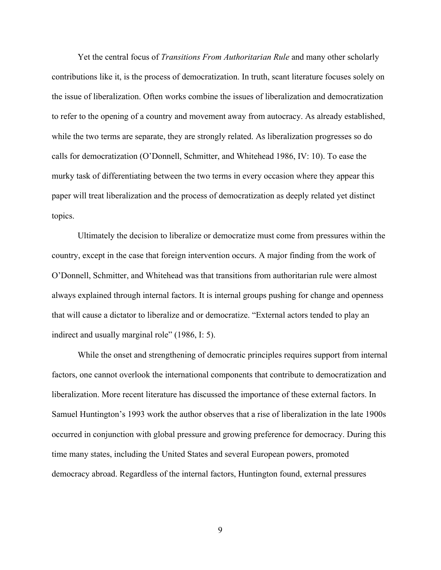Yet the central focus of *Transitions From Authoritarian Rule* and many other scholarly contributions like it, is the process of democratization. In truth, scant literature focuses solely on the issue of liberalization. Often works combine the issues of liberalization and democratization to refer to the opening of a country and movement away from autocracy. As already established, while the two terms are separate, they are strongly related. As liberalization progresses so do calls for democratization (O'Donnell, Schmitter, and Whitehead 1986, IV: 10). To ease the murky task of differentiating between the two terms in every occasion where they appear this paper will treat liberalization and the process of democratization as deeply related yet distinct topics.

Ultimately the decision to liberalize or democratize must come from pressures within the country, except in the case that foreign intervention occurs. A major finding from the work of O'Donnell, Schmitter, and Whitehead was that transitions from authoritarian rule were almost always explained through internal factors. It is internal groups pushing for change and openness that will cause a dictator to liberalize and or democratize. "External actors tended to play an indirect and usually marginal role" (1986, I: 5).

While the onset and strengthening of democratic principles requires support from internal factors, one cannot overlook the international components that contribute to democratization and liberalization. More recent literature has discussed the importance of these external factors. In Samuel Huntington's 1993 work the author observes that a rise of liberalization in the late 1900s occurred in conjunction with global pressure and growing preference for democracy. During this time many states, including the United States and several European powers, promoted democracy abroad. Regardless of the internal factors, Huntington found, external pressures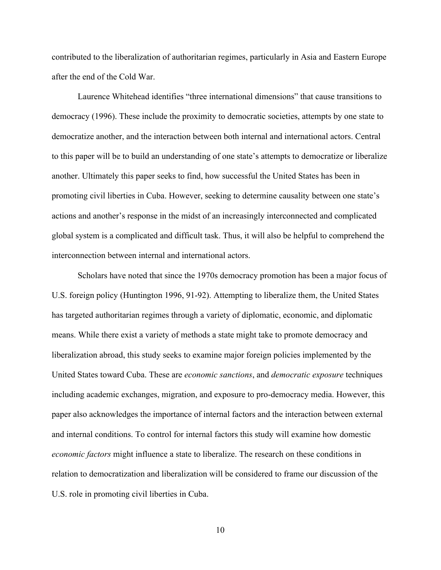contributed to the liberalization of authoritarian regimes, particularly in Asia and Eastern Europe after the end of the Cold War.

Laurence Whitehead identifies "three international dimensions" that cause transitions to democracy (1996). These include the proximity to democratic societies, attempts by one state to democratize another, and the interaction between both internal and international actors. Central to this paper will be to build an understanding of one state's attempts to democratize or liberalize another. Ultimately this paper seeks to find, how successful the United States has been in promoting civil liberties in Cuba. However, seeking to determine causality between one state's actions and another's response in the midst of an increasingly interconnected and complicated global system is a complicated and difficult task. Thus, it will also be helpful to comprehend the interconnection between internal and international actors.

Scholars have noted that since the 1970s democracy promotion has been a major focus of U.S. foreign policy (Huntington 1996, 91-92). Attempting to liberalize them, the United States has targeted authoritarian regimes through a variety of diplomatic, economic, and diplomatic means. While there exist a variety of methods a state might take to promote democracy and liberalization abroad, this study seeks to examine major foreign policies implemented by the United States toward Cuba. These are *economic sanctions*, and *democratic exposure* techniques including academic exchanges, migration, and exposure to pro-democracy media. However, this paper also acknowledges the importance of internal factors and the interaction between external and internal conditions. To control for internal factors this study will examine how domestic *economic factors* might influence a state to liberalize. The research on these conditions in relation to democratization and liberalization will be considered to frame our discussion of the U.S. role in promoting civil liberties in Cuba.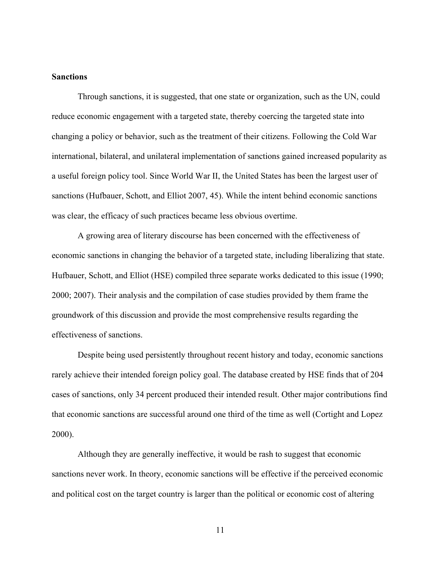# **Sanctions**

Through sanctions, it is suggested, that one state or organization, such as the UN, could reduce economic engagement with a targeted state, thereby coercing the targeted state into changing a policy or behavior, such as the treatment of their citizens. Following the Cold War international, bilateral, and unilateral implementation of sanctions gained increased popularity as a useful foreign policy tool. Since World War II, the United States has been the largest user of sanctions (Hufbauer, Schott, and Elliot 2007, 45). While the intent behind economic sanctions was clear, the efficacy of such practices became less obvious overtime.

A growing area of literary discourse has been concerned with the effectiveness of economic sanctions in changing the behavior of a targeted state, including liberalizing that state. Hufbauer, Schott, and Elliot (HSE) compiled three separate works dedicated to this issue (1990; 2000; 2007). Their analysis and the compilation of case studies provided by them frame the groundwork of this discussion and provide the most comprehensive results regarding the effectiveness of sanctions.

Despite being used persistently throughout recent history and today, economic sanctions rarely achieve their intended foreign policy goal. The database created by HSE finds that of 204 cases of sanctions, only 34 percent produced their intended result. Other major contributions find that economic sanctions are successful around one third of the time as well (Cortight and Lopez 2000).

Although they are generally ineffective, it would be rash to suggest that economic sanctions never work. In theory, economic sanctions will be effective if the perceived economic and political cost on the target country is larger than the political or economic cost of altering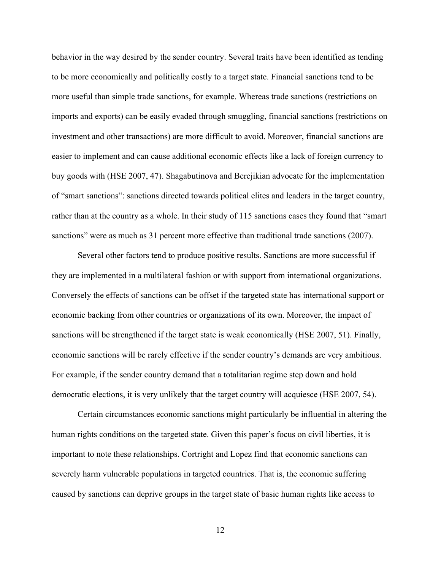behavior in the way desired by the sender country. Several traits have been identified as tending to be more economically and politically costly to a target state. Financial sanctions tend to be more useful than simple trade sanctions, for example. Whereas trade sanctions (restrictions on imports and exports) can be easily evaded through smuggling, financial sanctions (restrictions on investment and other transactions) are more difficult to avoid. Moreover, financial sanctions are easier to implement and can cause additional economic effects like a lack of foreign currency to buy goods with (HSE 2007, 47). Shagabutinova and Berejikian advocate for the implementation of "smart sanctions": sanctions directed towards political elites and leaders in the target country, rather than at the country as a whole. In their study of 115 sanctions cases they found that "smart sanctions" were as much as 31 percent more effective than traditional trade sanctions (2007).

Several other factors tend to produce positive results. Sanctions are more successful if they are implemented in a multilateral fashion or with support from international organizations. Conversely the effects of sanctions can be offset if the targeted state has international support or economic backing from other countries or organizations of its own. Moreover, the impact of sanctions will be strengthened if the target state is weak economically (HSE 2007, 51). Finally, economic sanctions will be rarely effective if the sender country's demands are very ambitious. For example, if the sender country demand that a totalitarian regime step down and hold democratic elections, it is very unlikely that the target country will acquiesce (HSE 2007, 54).

Certain circumstances economic sanctions might particularly be influential in altering the human rights conditions on the targeted state. Given this paper's focus on civil liberties, it is important to note these relationships. Cortright and Lopez find that economic sanctions can severely harm vulnerable populations in targeted countries. That is, the economic suffering caused by sanctions can deprive groups in the target state of basic human rights like access to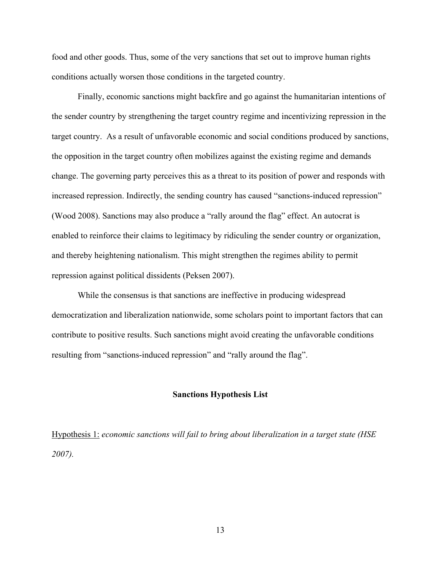food and other goods. Thus, some of the very sanctions that set out to improve human rights conditions actually worsen those conditions in the targeted country.

Finally, economic sanctions might backfire and go against the humanitarian intentions of the sender country by strengthening the target country regime and incentivizing repression in the target country. As a result of unfavorable economic and social conditions produced by sanctions, the opposition in the target country often mobilizes against the existing regime and demands change. The governing party perceives this as a threat to its position of power and responds with increased repression. Indirectly, the sending country has caused "sanctions-induced repression" (Wood 2008). Sanctions may also produce a "rally around the flag" effect. An autocrat is enabled to reinforce their claims to legitimacy by ridiculing the sender country or organization, and thereby heightening nationalism. This might strengthen the regimes ability to permit repression against political dissidents (Peksen 2007).

While the consensus is that sanctions are ineffective in producing widespread democratization and liberalization nationwide, some scholars point to important factors that can contribute to positive results. Such sanctions might avoid creating the unfavorable conditions resulting from "sanctions-induced repression" and "rally around the flag".

#### **Sanctions Hypothesis List**

Hypothesis 1: *economic sanctions will fail to bring about liberalization in a target state (HSE 2007).*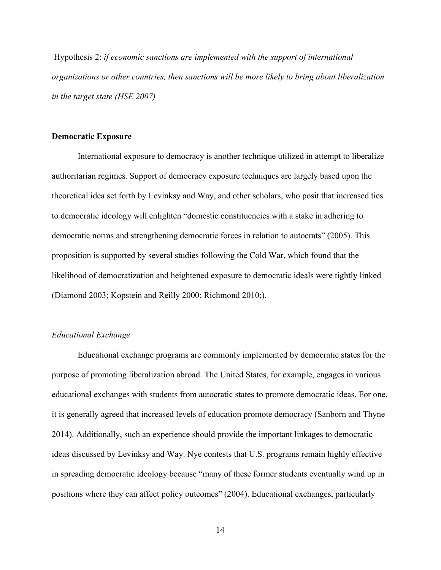Hypothesis 2: *if economic sanctions are implemented with the support of international organizations or other countries, then sanctions will be more likely to bring about liberalization in the target state (HSE 2007)*

# **Democratic Exposure**

International exposure to democracy is another technique utilized in attempt to liberalize authoritarian regimes. Support of democracy exposure techniques are largely based upon the theoretical idea set forth by Levinksy and Way, and other scholars, who posit that increased ties to democratic ideology will enlighten "domestic constituencies with a stake in adhering to democratic norms and strengthening democratic forces in relation to autocrats" (2005). This proposition is supported by several studies following the Cold War, which found that the likelihood of democratization and heightened exposure to democratic ideals were tightly linked (Diamond 2003; Kopstein and Reilly 2000; Richmond 2010;).

# *Educational Exchange*

Educational exchange programs are commonly implemented by democratic states for the purpose of promoting liberalization abroad. The United States, for example, engages in various educational exchanges with students from autocratic states to promote democratic ideas. For one, it is generally agreed that increased levels of education promote democracy (Sanborn and Thyne 2014). Additionally, such an experience should provide the important linkages to democratic ideas discussed by Levinksy and Way. Nye contests that U.S. programs remain highly effective in spreading democratic ideology because "many of these former students eventually wind up in positions where they can affect policy outcomes" (2004). Educational exchanges, particularly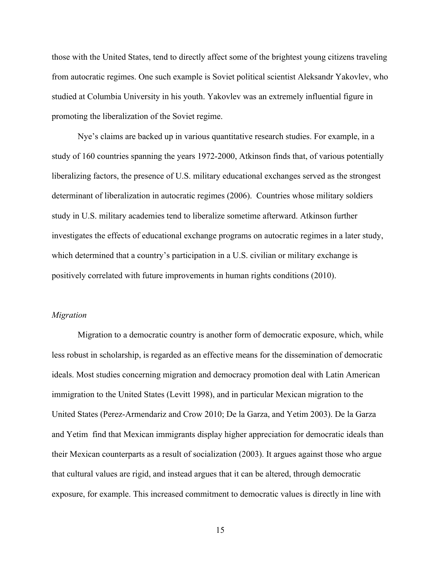those with the United States, tend to directly affect some of the brightest young citizens traveling from autocratic regimes. One such example is Soviet political scientist Aleksandr Yakovlev, who studied at Columbia University in his youth. Yakovlev was an extremely influential figure in promoting the liberalization of the Soviet regime.

Nye's claims are backed up in various quantitative research studies. For example, in a study of 160 countries spanning the years 1972-2000, Atkinson finds that, of various potentially liberalizing factors, the presence of U.S. military educational exchanges served as the strongest determinant of liberalization in autocratic regimes (2006). Countries whose military soldiers study in U.S. military academies tend to liberalize sometime afterward. Atkinson further investigates the effects of educational exchange programs on autocratic regimes in a later study, which determined that a country's participation in a U.S. civilian or military exchange is positively correlated with future improvements in human rights conditions (2010).

#### *Migration*

Migration to a democratic country is another form of democratic exposure, which, while less robust in scholarship, is regarded as an effective means for the dissemination of democratic ideals. Most studies concerning migration and democracy promotion deal with Latin American immigration to the United States (Levitt 1998), and in particular Mexican migration to the United States (Perez-Armendariz and Crow 2010; De la Garza, and Yetim 2003). De la Garza and Yetim find that Mexican immigrants display higher appreciation for democratic ideals than their Mexican counterparts as a result of socialization (2003). It argues against those who argue that cultural values are rigid, and instead argues that it can be altered, through democratic exposure, for example. This increased commitment to democratic values is directly in line with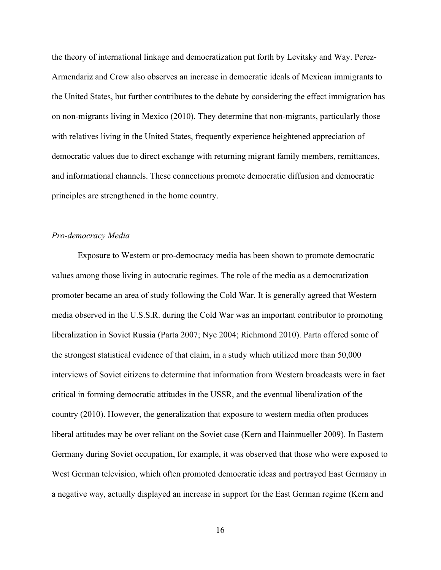the theory of international linkage and democratization put forth by Levitsky and Way. Perez-Armendariz and Crow also observes an increase in democratic ideals of Mexican immigrants to the United States, but further contributes to the debate by considering the effect immigration has on non-migrants living in Mexico (2010). They determine that non-migrants, particularly those with relatives living in the United States, frequently experience heightened appreciation of democratic values due to direct exchange with returning migrant family members, remittances, and informational channels. These connections promote democratic diffusion and democratic principles are strengthened in the home country.

#### *Pro-democracy Media*

Exposure to Western or pro-democracy media has been shown to promote democratic values among those living in autocratic regimes. The role of the media as a democratization promoter became an area of study following the Cold War. It is generally agreed that Western media observed in the U.S.S.R. during the Cold War was an important contributor to promoting liberalization in Soviet Russia (Parta 2007; Nye 2004; Richmond 2010). Parta offered some of the strongest statistical evidence of that claim, in a study which utilized more than 50,000 interviews of Soviet citizens to determine that information from Western broadcasts were in fact critical in forming democratic attitudes in the USSR, and the eventual liberalization of the country (2010). However, the generalization that exposure to western media often produces liberal attitudes may be over reliant on the Soviet case (Kern and Hainmueller 2009). In Eastern Germany during Soviet occupation, for example, it was observed that those who were exposed to West German television, which often promoted democratic ideas and portrayed East Germany in a negative way, actually displayed an increase in support for the East German regime (Kern and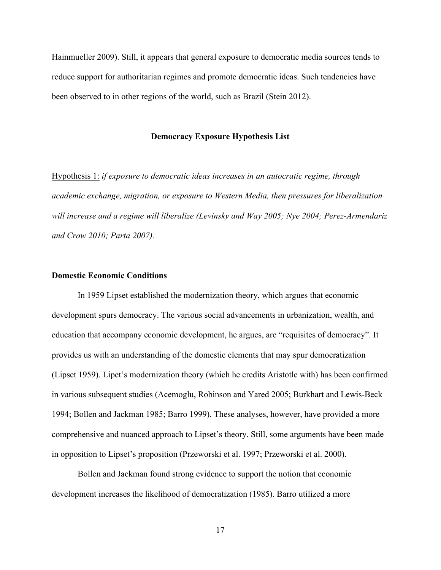Hainmueller 2009). Still, it appears that general exposure to democratic media sources tends to reduce support for authoritarian regimes and promote democratic ideas. Such tendencies have been observed to in other regions of the world, such as Brazil (Stein 2012).

#### **Democracy Exposure Hypothesis List**

Hypothesis 1: *if exposure to democratic ideas increases in an autocratic regime, through academic exchange, migration, or exposure to Western Media, then pressures for liberalization will increase and a regime will liberalize (Levinsky and Way 2005; Nye 2004; Perez-Armendariz and Crow 2010; Parta 2007).* 

### **Domestic Economic Conditions**

In 1959 Lipset established the modernization theory, which argues that economic development spurs democracy. The various social advancements in urbanization, wealth, and education that accompany economic development, he argues, are "requisites of democracy". It provides us with an understanding of the domestic elements that may spur democratization (Lipset 1959). Lipet's modernization theory (which he credits Aristotle with) has been confirmed in various subsequent studies (Acemoglu, Robinson and Yared 2005; Burkhart and Lewis-Beck 1994; Bollen and Jackman 1985; Barro 1999). These analyses, however, have provided a more comprehensive and nuanced approach to Lipset's theory. Still, some arguments have been made in opposition to Lipset's proposition (Przeworski et al. 1997; Przeworski et al. 2000).

Bollen and Jackman found strong evidence to support the notion that economic development increases the likelihood of democratization (1985). Barro utilized a more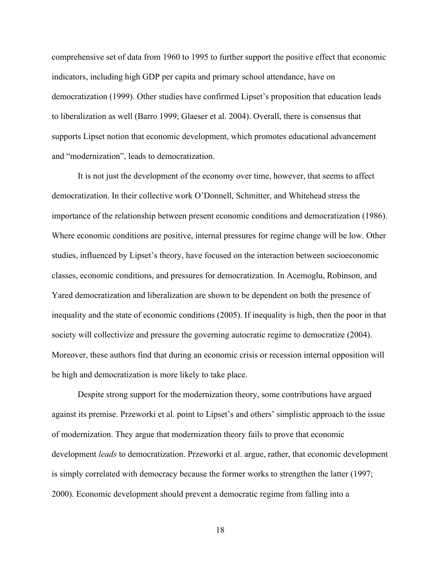comprehensive set of data from 1960 to 1995 to further support the positive effect that economic indicators, including high GDP per capita and primary school attendance, have on democratization (1999). Other studies have confirmed Lipset's proposition that education leads to liberalization as well (Barro 1999; Glaeser et al. 2004). Overall, there is consensus that supports Lipset notion that economic development, which promotes educational advancement and "modernization", leads to democratization.

It is not just the development of the economy over time, however, that seems to affect democratization. In their collective work O'Donnell, Schmitter, and Whitehead stress the importance of the relationship between present economic conditions and democratization (1986). Where economic conditions are positive, internal pressures for regime change will be low. Other studies, influenced by Lipset's theory, have focused on the interaction between socioeconomic classes, economic conditions, and pressures for democratization. In Acemoglu, Robinson, and Yared democratization and liberalization are shown to be dependent on both the presence of inequality and the state of economic conditions (2005). If inequality is high, then the poor in that society will collectivize and pressure the governing autocratic regime to democratize (2004). Moreover, these authors find that during an economic crisis or recession internal opposition will be high and democratization is more likely to take place.

Despite strong support for the modernization theory, some contributions have argued against its premise. Przeworki et al. point to Lipset's and others' simplistic approach to the issue of modernization. They argue that modernization theory fails to prove that economic development *leads* to democratization. Przeworki et al. argue, rather, that economic development is simply correlated with democracy because the former works to strengthen the latter (1997; 2000). Economic development should prevent a democratic regime from falling into a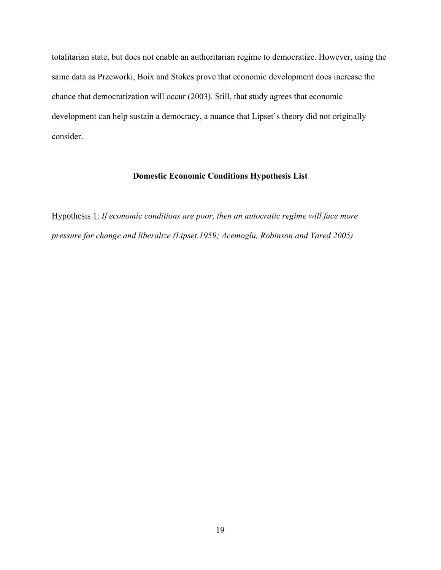totalitarian state, but does not enable an authoritarian regime to democratize. However, using the same data as Przeworki, Boix and Stokes prove that economic development does increase the chance that democratization will occur (2003). Still, that study agrees that economic development can help sustain a democracy, a nuance that Lipset's theory did not originally consider.

# **Domestic Economic Conditions Hypothesis List**

Hypothesis 1: *If economic conditions are poor, then an autocratic regime will face more pressure for change and liberalize (Lipset.1959; Acemoglu, Robinson and Yared 2005)*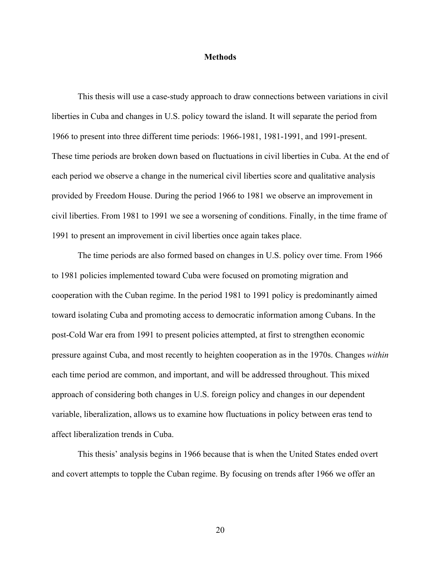## **Methods**

This thesis will use a case-study approach to draw connections between variations in civil liberties in Cuba and changes in U.S. policy toward the island. It will separate the period from 1966 to present into three different time periods: 1966-1981, 1981-1991, and 1991-present. These time periods are broken down based on fluctuations in civil liberties in Cuba. At the end of each period we observe a change in the numerical civil liberties score and qualitative analysis provided by Freedom House. During the period 1966 to 1981 we observe an improvement in civil liberties. From 1981 to 1991 we see a worsening of conditions. Finally, in the time frame of 1991 to present an improvement in civil liberties once again takes place.

The time periods are also formed based on changes in U.S. policy over time. From 1966 to 1981 policies implemented toward Cuba were focused on promoting migration and cooperation with the Cuban regime. In the period 1981 to 1991 policy is predominantly aimed toward isolating Cuba and promoting access to democratic information among Cubans. In the post-Cold War era from 1991 to present policies attempted, at first to strengthen economic pressure against Cuba, and most recently to heighten cooperation as in the 1970s. Changes *within*  each time period are common, and important, and will be addressed throughout. This mixed approach of considering both changes in U.S. foreign policy and changes in our dependent variable, liberalization, allows us to examine how fluctuations in policy between eras tend to affect liberalization trends in Cuba.

This thesis' analysis begins in 1966 because that is when the United States ended overt and covert attempts to topple the Cuban regime. By focusing on trends after 1966 we offer an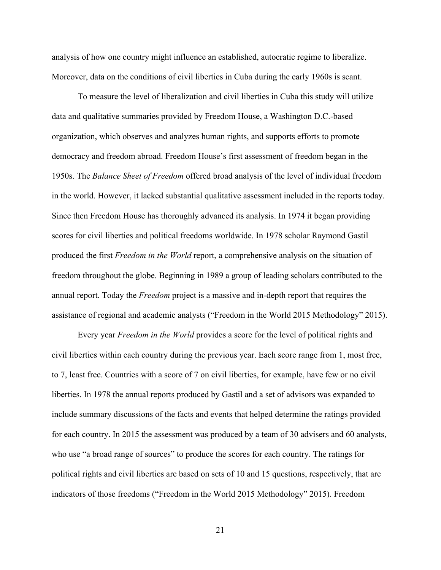analysis of how one country might influence an established, autocratic regime to liberalize. Moreover, data on the conditions of civil liberties in Cuba during the early 1960s is scant.

To measure the level of liberalization and civil liberties in Cuba this study will utilize data and qualitative summaries provided by Freedom House, a Washington D.C.-based organization, which observes and analyzes human rights, and supports efforts to promote democracy and freedom abroad. Freedom House's first assessment of freedom began in the 1950s. The *Balance Sheet of Freedom* offered broad analysis of the level of individual freedom in the world. However, it lacked substantial qualitative assessment included in the reports today. Since then Freedom House has thoroughly advanced its analysis. In 1974 it began providing scores for civil liberties and political freedoms worldwide. In 1978 scholar Raymond Gastil produced the first *Freedom in the World* report, a comprehensive analysis on the situation of freedom throughout the globe. Beginning in 1989 a group of leading scholars contributed to the annual report. Today the *Freedom* project is a massive and in-depth report that requires the assistance of regional and academic analysts ("Freedom in the World 2015 Methodology" 2015).

Every year *Freedom in the World* provides a score for the level of political rights and civil liberties within each country during the previous year. Each score range from 1, most free, to 7, least free. Countries with a score of 7 on civil liberties, for example, have few or no civil liberties. In 1978 the annual reports produced by Gastil and a set of advisors was expanded to include summary discussions of the facts and events that helped determine the ratings provided for each country. In 2015 the assessment was produced by a team of 30 advisers and 60 analysts, who use "a broad range of sources" to produce the scores for each country. The ratings for political rights and civil liberties are based on sets of 10 and 15 questions, respectively, that are indicators of those freedoms ("Freedom in the World 2015 Methodology" 2015). Freedom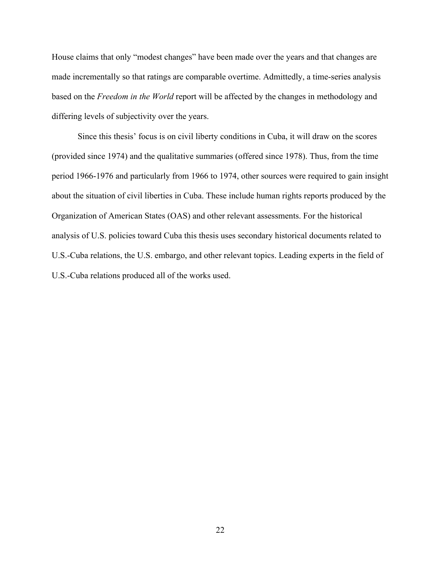House claims that only "modest changes" have been made over the years and that changes are made incrementally so that ratings are comparable overtime. Admittedly, a time-series analysis based on the *Freedom in the World* report will be affected by the changes in methodology and differing levels of subjectivity over the years.

Since this thesis' focus is on civil liberty conditions in Cuba, it will draw on the scores (provided since 1974) and the qualitative summaries (offered since 1978). Thus, from the time period 1966-1976 and particularly from 1966 to 1974, other sources were required to gain insight about the situation of civil liberties in Cuba. These include human rights reports produced by the Organization of American States (OAS) and other relevant assessments. For the historical analysis of U.S. policies toward Cuba this thesis uses secondary historical documents related to U.S.-Cuba relations, the U.S. embargo, and other relevant topics. Leading experts in the field of U.S.-Cuba relations produced all of the works used.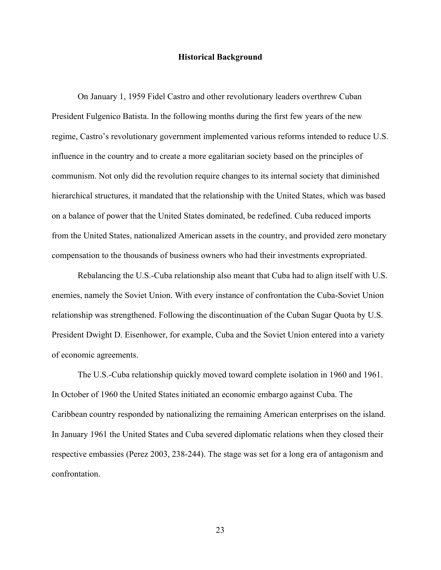#### **Historical Background**

On January 1, 1959 Fidel Castro and other revolutionary leaders overthrew Cuban President Fulgenico Batista. In the following months during the first few years of the new regime, Castro's revolutionary government implemented various reforms intended to reduce U.S. influence in the country and to create a more egalitarian society based on the principles of communism. Not only did the revolution require changes to its internal society that diminished hierarchical structures, it mandated that the relationship with the United States, which was based on a balance of power that the United States dominated, be redefined. Cuba reduced imports from the United States, nationalized American assets in the country, and provided zero monetary compensation to the thousands of business owners who had their investments expropriated.

Rebalancing the U.S.-Cuba relationship also meant that Cuba had to align itself with U.S. enemies, namely the Soviet Union. With every instance of confrontation the Cuba-Soviet Union relationship was strengthened. Following the discontinuation of the Cuban Sugar Quota by U.S. President Dwight D. Eisenhower, for example, Cuba and the Soviet Union entered into a variety of economic agreements.

The U.S.-Cuba relationship quickly moved toward complete isolation in 1960 and 1961. In October of 1960 the United States initiated an economic embargo against Cuba. The Caribbean country responded by nationalizing the remaining American enterprises on the island. In January 1961 the United States and Cuba severed diplomatic relations when they closed their respective embassies (Perez 2003, 238-244). The stage was set for a long era of antagonism and confrontation.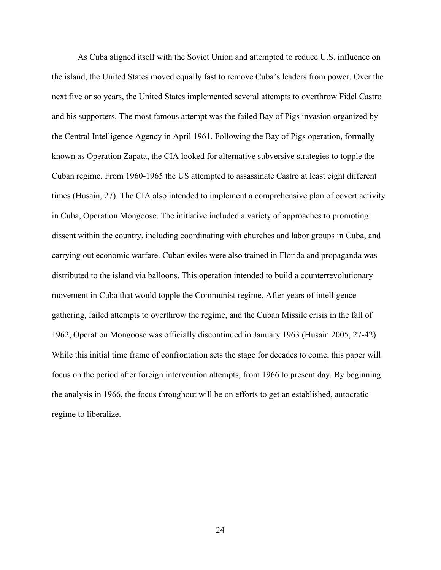As Cuba aligned itself with the Soviet Union and attempted to reduce U.S. influence on the island, the United States moved equally fast to remove Cuba's leaders from power. Over the next five or so years, the United States implemented several attempts to overthrow Fidel Castro and his supporters. The most famous attempt was the failed Bay of Pigs invasion organized by the Central Intelligence Agency in April 1961. Following the Bay of Pigs operation, formally known as Operation Zapata, the CIA looked for alternative subversive strategies to topple the Cuban regime. From 1960-1965 the US attempted to assassinate Castro at least eight different times (Husain, 27). The CIA also intended to implement a comprehensive plan of covert activity in Cuba, Operation Mongoose. The initiative included a variety of approaches to promoting dissent within the country, including coordinating with churches and labor groups in Cuba, and carrying out economic warfare. Cuban exiles were also trained in Florida and propaganda was distributed to the island via balloons. This operation intended to build a counterrevolutionary movement in Cuba that would topple the Communist regime. After years of intelligence gathering, failed attempts to overthrow the regime, and the Cuban Missile crisis in the fall of 1962, Operation Mongoose was officially discontinued in January 1963 (Husain 2005, 27-42) While this initial time frame of confrontation sets the stage for decades to come, this paper will focus on the period after foreign intervention attempts, from 1966 to present day. By beginning the analysis in 1966, the focus throughout will be on efforts to get an established, autocratic regime to liberalize.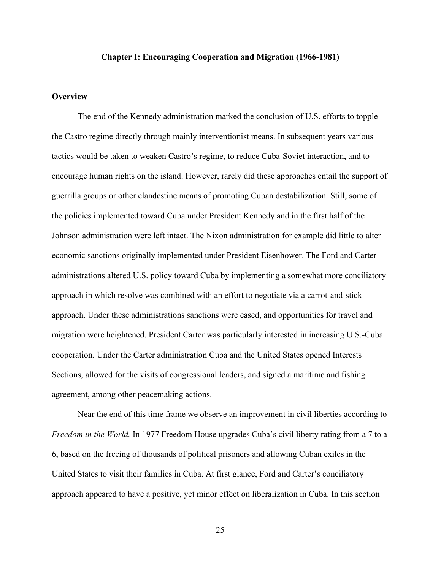#### **Chapter I: Encouraging Cooperation and Migration (1966-1981)**

# **Overview**

The end of the Kennedy administration marked the conclusion of U.S. efforts to topple the Castro regime directly through mainly interventionist means. In subsequent years various tactics would be taken to weaken Castro's regime, to reduce Cuba-Soviet interaction, and to encourage human rights on the island. However, rarely did these approaches entail the support of guerrilla groups or other clandestine means of promoting Cuban destabilization. Still, some of the policies implemented toward Cuba under President Kennedy and in the first half of the Johnson administration were left intact. The Nixon administration for example did little to alter economic sanctions originally implemented under President Eisenhower. The Ford and Carter administrations altered U.S. policy toward Cuba by implementing a somewhat more conciliatory approach in which resolve was combined with an effort to negotiate via a carrot-and-stick approach. Under these administrations sanctions were eased, and opportunities for travel and migration were heightened. President Carter was particularly interested in increasing U.S.-Cuba cooperation. Under the Carter administration Cuba and the United States opened Interests Sections, allowed for the visits of congressional leaders, and signed a maritime and fishing agreement, among other peacemaking actions.

Near the end of this time frame we observe an improvement in civil liberties according to *Freedom in the World.* In 1977 Freedom House upgrades Cuba's civil liberty rating from a 7 to a 6, based on the freeing of thousands of political prisoners and allowing Cuban exiles in the United States to visit their families in Cuba. At first glance, Ford and Carter's conciliatory approach appeared to have a positive, yet minor effect on liberalization in Cuba. In this section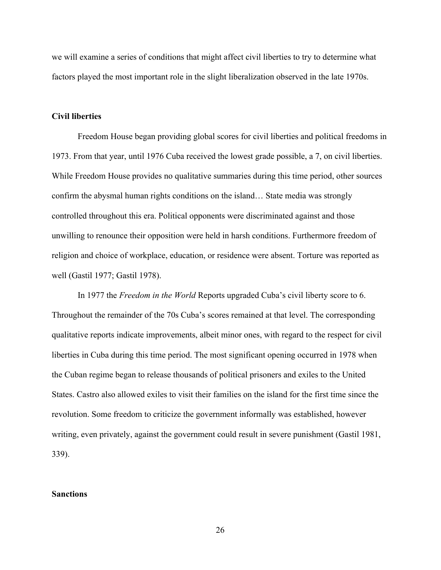we will examine a series of conditions that might affect civil liberties to try to determine what factors played the most important role in the slight liberalization observed in the late 1970s.

### **Civil liberties**

Freedom House began providing global scores for civil liberties and political freedoms in 1973. From that year, until 1976 Cuba received the lowest grade possible, a 7, on civil liberties. While Freedom House provides no qualitative summaries during this time period, other sources confirm the abysmal human rights conditions on the island… State media was strongly controlled throughout this era. Political opponents were discriminated against and those unwilling to renounce their opposition were held in harsh conditions. Furthermore freedom of religion and choice of workplace, education, or residence were absent. Torture was reported as well (Gastil 1977; Gastil 1978).

In 1977 the *Freedom in the World* Reports upgraded Cuba's civil liberty score to 6. Throughout the remainder of the 70s Cuba's scores remained at that level. The corresponding qualitative reports indicate improvements, albeit minor ones, with regard to the respect for civil liberties in Cuba during this time period. The most significant opening occurred in 1978 when the Cuban regime began to release thousands of political prisoners and exiles to the United States. Castro also allowed exiles to visit their families on the island for the first time since the revolution. Some freedom to criticize the government informally was established, however writing, even privately, against the government could result in severe punishment (Gastil 1981, 339).

#### **Sanctions**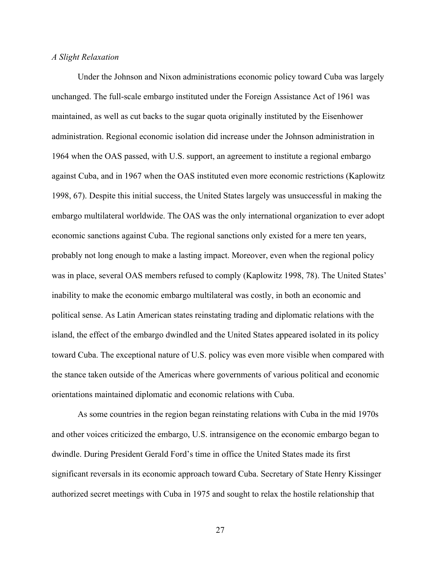#### *A Slight Relaxation*

Under the Johnson and Nixon administrations economic policy toward Cuba was largely unchanged. The full-scale embargo instituted under the Foreign Assistance Act of 1961 was maintained, as well as cut backs to the sugar quota originally instituted by the Eisenhower administration. Regional economic isolation did increase under the Johnson administration in 1964 when the OAS passed, with U.S. support, an agreement to institute a regional embargo against Cuba, and in 1967 when the OAS instituted even more economic restrictions (Kaplowitz 1998, 67). Despite this initial success, the United States largely was unsuccessful in making the embargo multilateral worldwide. The OAS was the only international organization to ever adopt economic sanctions against Cuba. The regional sanctions only existed for a mere ten years, probably not long enough to make a lasting impact. Moreover, even when the regional policy was in place, several OAS members refused to comply (Kaplowitz 1998, 78). The United States' inability to make the economic embargo multilateral was costly, in both an economic and political sense. As Latin American states reinstating trading and diplomatic relations with the island, the effect of the embargo dwindled and the United States appeared isolated in its policy toward Cuba. The exceptional nature of U.S. policy was even more visible when compared with the stance taken outside of the Americas where governments of various political and economic orientations maintained diplomatic and economic relations with Cuba.

As some countries in the region began reinstating relations with Cuba in the mid 1970s and other voices criticized the embargo, U.S. intransigence on the economic embargo began to dwindle. During President Gerald Ford's time in office the United States made its first significant reversals in its economic approach toward Cuba. Secretary of State Henry Kissinger authorized secret meetings with Cuba in 1975 and sought to relax the hostile relationship that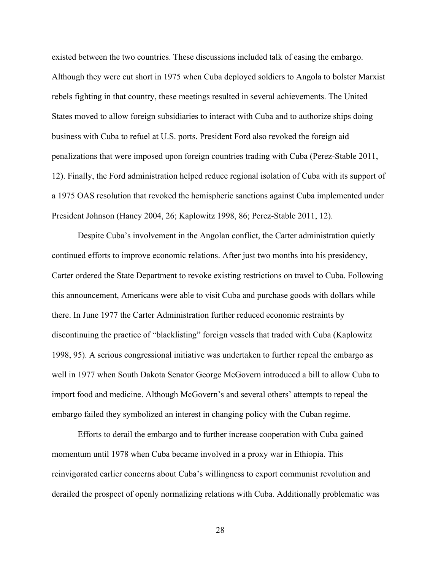existed between the two countries. These discussions included talk of easing the embargo. Although they were cut short in 1975 when Cuba deployed soldiers to Angola to bolster Marxist rebels fighting in that country, these meetings resulted in several achievements. The United States moved to allow foreign subsidiaries to interact with Cuba and to authorize ships doing business with Cuba to refuel at U.S. ports. President Ford also revoked the foreign aid penalizations that were imposed upon foreign countries trading with Cuba (Perez-Stable 2011, 12). Finally, the Ford administration helped reduce regional isolation of Cuba with its support of a 1975 OAS resolution that revoked the hemispheric sanctions against Cuba implemented under President Johnson (Haney 2004, 26; Kaplowitz 1998, 86; Perez-Stable 2011, 12).

Despite Cuba's involvement in the Angolan conflict, the Carter administration quietly continued efforts to improve economic relations. After just two months into his presidency, Carter ordered the State Department to revoke existing restrictions on travel to Cuba. Following this announcement, Americans were able to visit Cuba and purchase goods with dollars while there. In June 1977 the Carter Administration further reduced economic restraints by discontinuing the practice of "blacklisting" foreign vessels that traded with Cuba (Kaplowitz 1998, 95). A serious congressional initiative was undertaken to further repeal the embargo as well in 1977 when South Dakota Senator George McGovern introduced a bill to allow Cuba to import food and medicine. Although McGovern's and several others' attempts to repeal the embargo failed they symbolized an interest in changing policy with the Cuban regime.

Efforts to derail the embargo and to further increase cooperation with Cuba gained momentum until 1978 when Cuba became involved in a proxy war in Ethiopia. This reinvigorated earlier concerns about Cuba's willingness to export communist revolution and derailed the prospect of openly normalizing relations with Cuba. Additionally problematic was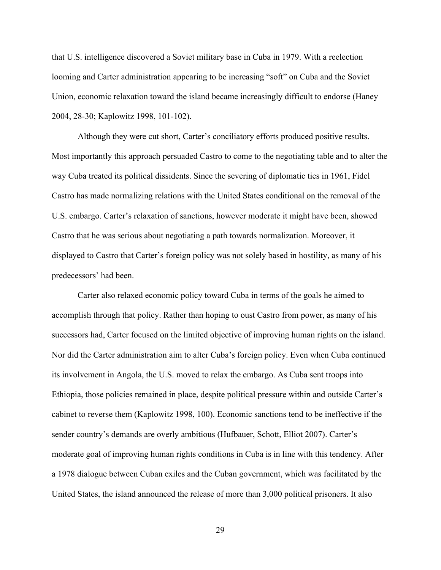that U.S. intelligence discovered a Soviet military base in Cuba in 1979. With a reelection looming and Carter administration appearing to be increasing "soft" on Cuba and the Soviet Union, economic relaxation toward the island became increasingly difficult to endorse (Haney 2004, 28-30; Kaplowitz 1998, 101-102).

Although they were cut short, Carter's conciliatory efforts produced positive results. Most importantly this approach persuaded Castro to come to the negotiating table and to alter the way Cuba treated its political dissidents. Since the severing of diplomatic ties in 1961, Fidel Castro has made normalizing relations with the United States conditional on the removal of the U.S. embargo. Carter's relaxation of sanctions, however moderate it might have been, showed Castro that he was serious about negotiating a path towards normalization. Moreover, it displayed to Castro that Carter's foreign policy was not solely based in hostility, as many of his predecessors' had been.

Carter also relaxed economic policy toward Cuba in terms of the goals he aimed to accomplish through that policy. Rather than hoping to oust Castro from power, as many of his successors had, Carter focused on the limited objective of improving human rights on the island. Nor did the Carter administration aim to alter Cuba's foreign policy. Even when Cuba continued its involvement in Angola, the U.S. moved to relax the embargo. As Cuba sent troops into Ethiopia, those policies remained in place, despite political pressure within and outside Carter's cabinet to reverse them (Kaplowitz 1998, 100). Economic sanctions tend to be ineffective if the sender country's demands are overly ambitious (Hufbauer, Schott, Elliot 2007). Carter's moderate goal of improving human rights conditions in Cuba is in line with this tendency. After a 1978 dialogue between Cuban exiles and the Cuban government, which was facilitated by the United States, the island announced the release of more than 3,000 political prisoners. It also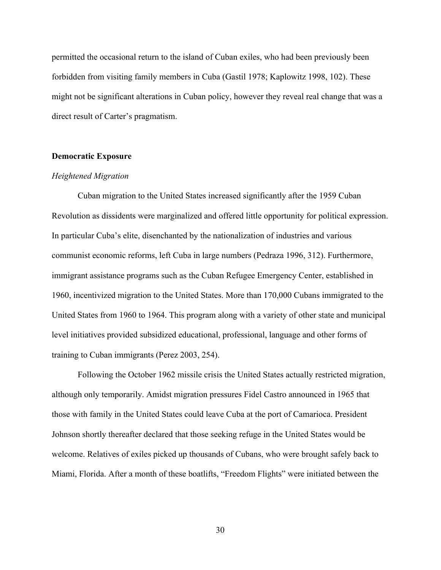permitted the occasional return to the island of Cuban exiles, who had been previously been forbidden from visiting family members in Cuba (Gastil 1978; Kaplowitz 1998, 102). These might not be significant alterations in Cuban policy, however they reveal real change that was a direct result of Carter's pragmatism.

# **Democratic Exposure**

# *Heightened Migration*

Cuban migration to the United States increased significantly after the 1959 Cuban Revolution as dissidents were marginalized and offered little opportunity for political expression. In particular Cuba's elite, disenchanted by the nationalization of industries and various communist economic reforms, left Cuba in large numbers (Pedraza 1996, 312). Furthermore, immigrant assistance programs such as the Cuban Refugee Emergency Center, established in 1960, incentivized migration to the United States. More than 170,000 Cubans immigrated to the United States from 1960 to 1964. This program along with a variety of other state and municipal level initiatives provided subsidized educational, professional, language and other forms of training to Cuban immigrants (Perez 2003, 254).

Following the October 1962 missile crisis the United States actually restricted migration, although only temporarily. Amidst migration pressures Fidel Castro announced in 1965 that those with family in the United States could leave Cuba at the port of Camarioca. President Johnson shortly thereafter declared that those seeking refuge in the United States would be welcome. Relatives of exiles picked up thousands of Cubans, who were brought safely back to Miami, Florida. After a month of these boatlifts, "Freedom Flights" were initiated between the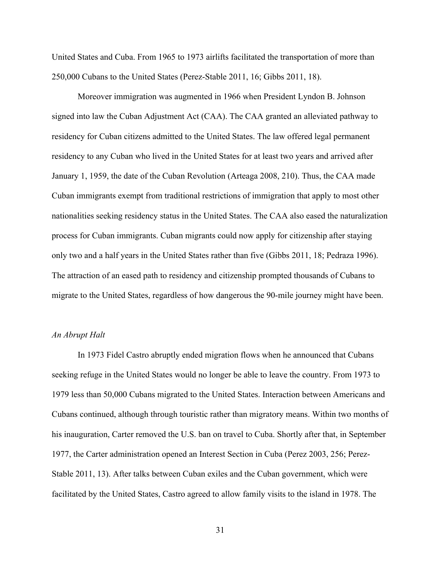United States and Cuba. From 1965 to 1973 airlifts facilitated the transportation of more than 250,000 Cubans to the United States (Perez-Stable 2011, 16; Gibbs 2011, 18).

Moreover immigration was augmented in 1966 when President Lyndon B. Johnson signed into law the Cuban Adjustment Act (CAA). The CAA granted an alleviated pathway to residency for Cuban citizens admitted to the United States. The law offered legal permanent residency to any Cuban who lived in the United States for at least two years and arrived after January 1, 1959, the date of the Cuban Revolution (Arteaga 2008, 210). Thus, the CAA made Cuban immigrants exempt from traditional restrictions of immigration that apply to most other nationalities seeking residency status in the United States. The CAA also eased the naturalization process for Cuban immigrants. Cuban migrants could now apply for citizenship after staying only two and a half years in the United States rather than five (Gibbs 2011, 18; Pedraza 1996). The attraction of an eased path to residency and citizenship prompted thousands of Cubans to migrate to the United States, regardless of how dangerous the 90-mile journey might have been.

#### *An Abrupt Halt*

In 1973 Fidel Castro abruptly ended migration flows when he announced that Cubans seeking refuge in the United States would no longer be able to leave the country. From 1973 to 1979 less than 50,000 Cubans migrated to the United States. Interaction between Americans and Cubans continued, although through touristic rather than migratory means. Within two months of his inauguration, Carter removed the U.S. ban on travel to Cuba. Shortly after that, in September 1977, the Carter administration opened an Interest Section in Cuba (Perez 2003, 256; Perez-Stable 2011, 13). After talks between Cuban exiles and the Cuban government, which were facilitated by the United States, Castro agreed to allow family visits to the island in 1978. The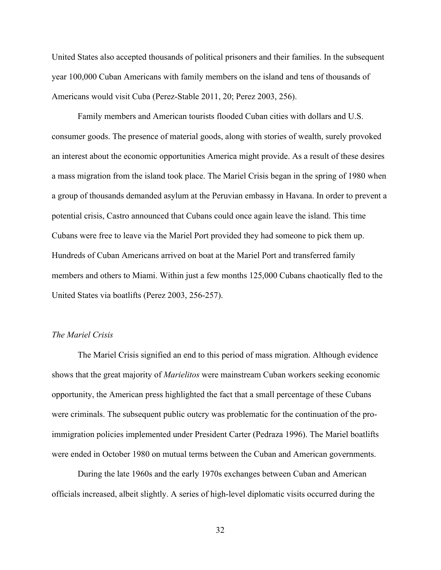United States also accepted thousands of political prisoners and their families. In the subsequent year 100,000 Cuban Americans with family members on the island and tens of thousands of Americans would visit Cuba (Perez-Stable 2011, 20; Perez 2003, 256).

Family members and American tourists flooded Cuban cities with dollars and U.S. consumer goods. The presence of material goods, along with stories of wealth, surely provoked an interest about the economic opportunities America might provide. As a result of these desires a mass migration from the island took place. The Mariel Crisis began in the spring of 1980 when a group of thousands demanded asylum at the Peruvian embassy in Havana. In order to prevent a potential crisis, Castro announced that Cubans could once again leave the island. This time Cubans were free to leave via the Mariel Port provided they had someone to pick them up. Hundreds of Cuban Americans arrived on boat at the Mariel Port and transferred family members and others to Miami. Within just a few months 125,000 Cubans chaotically fled to the United States via boatlifts (Perez 2003, 256-257).

# *The Mariel Crisis*

The Mariel Crisis signified an end to this period of mass migration. Although evidence shows that the great majority of *Marielitos* were mainstream Cuban workers seeking economic opportunity, the American press highlighted the fact that a small percentage of these Cubans were criminals. The subsequent public outcry was problematic for the continuation of the proimmigration policies implemented under President Carter (Pedraza 1996). The Mariel boatlifts were ended in October 1980 on mutual terms between the Cuban and American governments.

During the late 1960s and the early 1970s exchanges between Cuban and American officials increased, albeit slightly. A series of high-level diplomatic visits occurred during the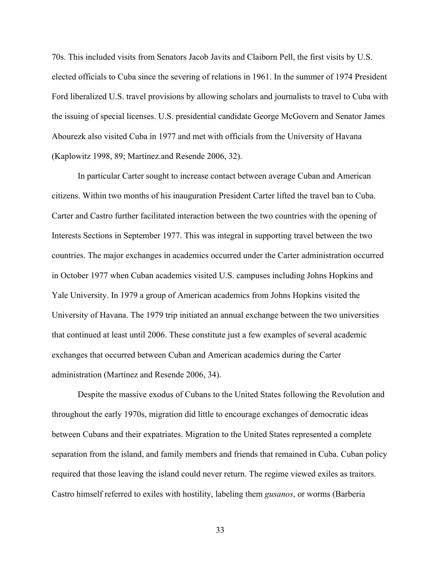70s. This included visits from Senators Jacob Javits and Claiborn Pell, the first visits by U.S. elected officials to Cuba since the severing of relations in 1961. In the summer of 1974 President Ford liberalized U.S. travel provisions by allowing scholars and journalists to travel to Cuba with the issuing of special licenses. U.S. presidential candidate George McGovern and Senator James Abourezk also visited Cuba in 1977 and met with officials from the University of Havana (Kaplowitz 1998, 89; Martínez.and Resende 2006, 32).

In particular Carter sought to increase contact between average Cuban and American citizens. Within two months of his inauguration President Carter lifted the travel ban to Cuba. Carter and Castro further facilitated interaction between the two countries with the opening of Interests Sections in September 1977. This was integral in supporting travel between the two countries. The major exchanges in academics occurred under the Carter administration occurred in October 1977 when Cuban academics visited U.S. campuses including Johns Hopkins and Yale University. In 1979 a group of American academics from Johns Hopkins visited the University of Havana. The 1979 trip initiated an annual exchange between the two universities that continued at least until 2006. These constitute just a few examples of several academic exchanges that occurred between Cuban and American academics during the Carter administration (Martínez and Resende 2006, 34).

Despite the massive exodus of Cubans to the United States following the Revolution and throughout the early 1970s, migration did little to encourage exchanges of democratic ideas between Cubans and their expatriates. Migration to the United States represented a complete separation from the island, and family members and friends that remained in Cuba. Cuban policy required that those leaving the island could never return. The regime viewed exiles as traitors. Castro himself referred to exiles with hostility, labeling them *gusanos*, or worms (Barberia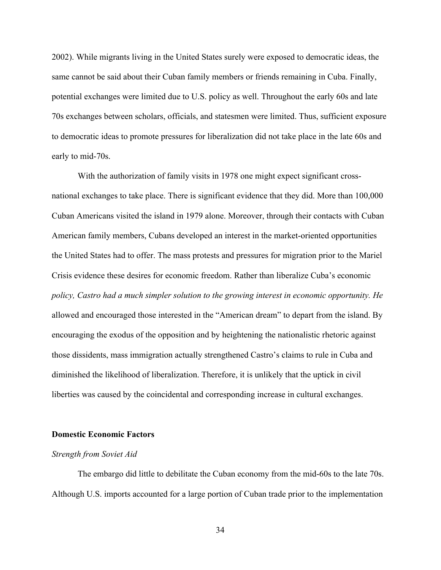2002). While migrants living in the United States surely were exposed to democratic ideas, the same cannot be said about their Cuban family members or friends remaining in Cuba. Finally, potential exchanges were limited due to U.S. policy as well. Throughout the early 60s and late 70s exchanges between scholars, officials, and statesmen were limited. Thus, sufficient exposure to democratic ideas to promote pressures for liberalization did not take place in the late 60s and early to mid-70s.

With the authorization of family visits in 1978 one might expect significant crossnational exchanges to take place. There is significant evidence that they did. More than 100,000 Cuban Americans visited the island in 1979 alone. Moreover, through their contacts with Cuban American family members, Cubans developed an interest in the market-oriented opportunities the United States had to offer. The mass protests and pressures for migration prior to the Mariel Crisis evidence these desires for economic freedom. Rather than liberalize Cuba's economic *policy, Castro had a much simpler solution to the growing interest in economic opportunity. He* allowed and encouraged those interested in the "American dream" to depart from the island. By encouraging the exodus of the opposition and by heightening the nationalistic rhetoric against those dissidents, mass immigration actually strengthened Castro's claims to rule in Cuba and diminished the likelihood of liberalization. Therefore, it is unlikely that the uptick in civil liberties was caused by the coincidental and corresponding increase in cultural exchanges.

### **Domestic Economic Factors**

#### *Strength from Soviet Aid*

The embargo did little to debilitate the Cuban economy from the mid-60s to the late 70s. Although U.S. imports accounted for a large portion of Cuban trade prior to the implementation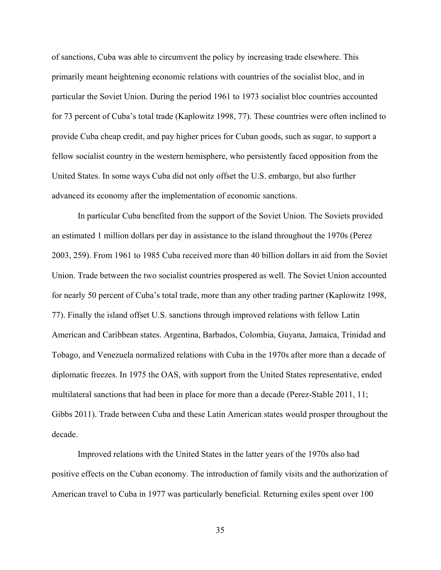of sanctions, Cuba was able to circumvent the policy by increasing trade elsewhere. This primarily meant heightening economic relations with countries of the socialist bloc, and in particular the Soviet Union. During the period 1961 to 1973 socialist bloc countries accounted for 73 percent of Cuba's total trade (Kaplowitz 1998, 77). These countries were often inclined to provide Cuba cheap credit, and pay higher prices for Cuban goods, such as sugar, to support a fellow socialist country in the western hemisphere, who persistently faced opposition from the United States. In some ways Cuba did not only offset the U.S. embargo, but also further advanced its economy after the implementation of economic sanctions.

In particular Cuba benefited from the support of the Soviet Union. The Soviets provided an estimated 1 million dollars per day in assistance to the island throughout the 1970s (Perez 2003, 259). From 1961 to 1985 Cuba received more than 40 billion dollars in aid from the Soviet Union. Trade between the two socialist countries prospered as well. The Soviet Union accounted for nearly 50 percent of Cuba's total trade, more than any other trading partner (Kaplowitz 1998, 77). Finally the island offset U.S. sanctions through improved relations with fellow Latin American and Caribbean states. Argentina, Barbados, Colombia, Guyana, Jamaica, Trinidad and Tobago, and Venezuela normalized relations with Cuba in the 1970s after more than a decade of diplomatic freezes. In 1975 the OAS, with support from the United States representative, ended multilateral sanctions that had been in place for more than a decade (Perez-Stable 2011, 11; Gibbs 2011). Trade between Cuba and these Latin American states would prosper throughout the decade.

Improved relations with the United States in the latter years of the 1970s also had positive effects on the Cuban economy. The introduction of family visits and the authorization of American travel to Cuba in 1977 was particularly beneficial. Returning exiles spent over 100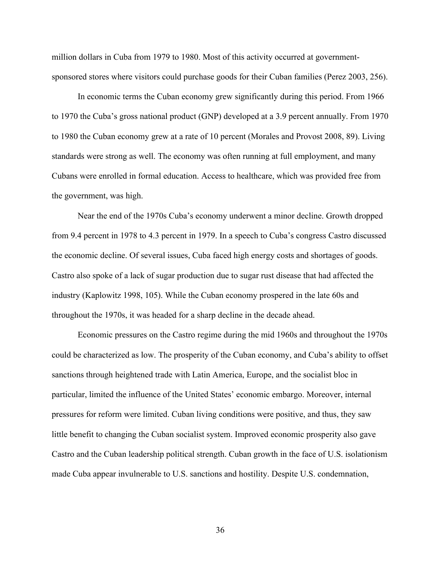million dollars in Cuba from 1979 to 1980. Most of this activity occurred at governmentsponsored stores where visitors could purchase goods for their Cuban families (Perez 2003, 256).

In economic terms the Cuban economy grew significantly during this period. From 1966 to 1970 the Cuba's gross national product (GNP) developed at a 3.9 percent annually. From 1970 to 1980 the Cuban economy grew at a rate of 10 percent (Morales and Provost 2008, 89). Living standards were strong as well. The economy was often running at full employment, and many Cubans were enrolled in formal education. Access to healthcare, which was provided free from the government, was high.

Near the end of the 1970s Cuba's economy underwent a minor decline. Growth dropped from 9.4 percent in 1978 to 4.3 percent in 1979. In a speech to Cuba's congress Castro discussed the economic decline. Of several issues, Cuba faced high energy costs and shortages of goods. Castro also spoke of a lack of sugar production due to sugar rust disease that had affected the industry (Kaplowitz 1998, 105). While the Cuban economy prospered in the late 60s and throughout the 1970s, it was headed for a sharp decline in the decade ahead.

Economic pressures on the Castro regime during the mid 1960s and throughout the 1970s could be characterized as low. The prosperity of the Cuban economy, and Cuba's ability to offset sanctions through heightened trade with Latin America, Europe, and the socialist bloc in particular, limited the influence of the United States' economic embargo. Moreover, internal pressures for reform were limited. Cuban living conditions were positive, and thus, they saw little benefit to changing the Cuban socialist system. Improved economic prosperity also gave Castro and the Cuban leadership political strength. Cuban growth in the face of U.S. isolationism made Cuba appear invulnerable to U.S. sanctions and hostility. Despite U.S. condemnation,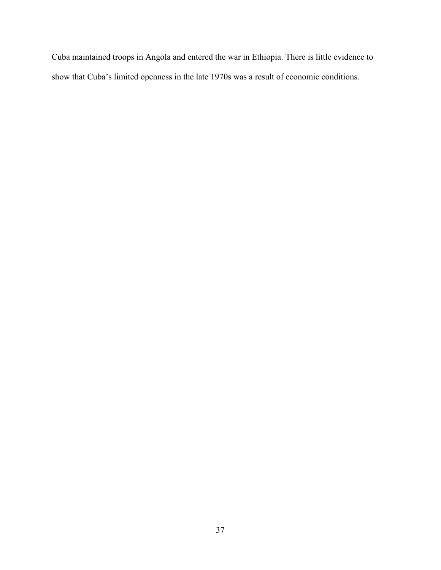Cuba maintained troops in Angola and entered the war in Ethiopia. There is little evidence to show that Cuba's limited openness in the late 1970s was a result of economic conditions.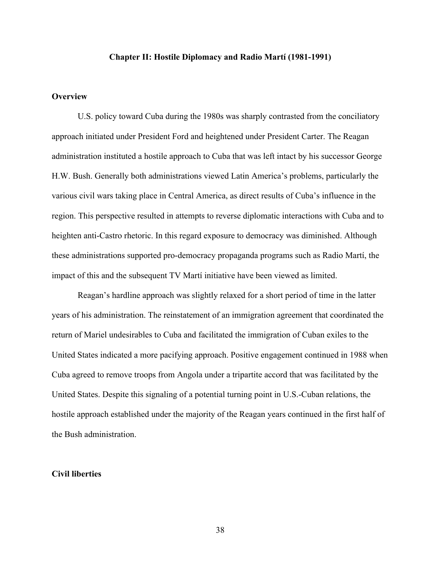### **Chapter II: Hostile Diplomacy and Radio Martí (1981-1991)**

# **Overview**

U.S. policy toward Cuba during the 1980s was sharply contrasted from the conciliatory approach initiated under President Ford and heightened under President Carter. The Reagan administration instituted a hostile approach to Cuba that was left intact by his successor George H.W. Bush. Generally both administrations viewed Latin America's problems, particularly the various civil wars taking place in Central America, as direct results of Cuba's influence in the region. This perspective resulted in attempts to reverse diplomatic interactions with Cuba and to heighten anti-Castro rhetoric. In this regard exposure to democracy was diminished. Although these administrations supported pro-democracy propaganda programs such as Radio Martí, the impact of this and the subsequent TV Martí initiative have been viewed as limited.

Reagan's hardline approach was slightly relaxed for a short period of time in the latter years of his administration. The reinstatement of an immigration agreement that coordinated the return of Mariel undesirables to Cuba and facilitated the immigration of Cuban exiles to the United States indicated a more pacifying approach. Positive engagement continued in 1988 when Cuba agreed to remove troops from Angola under a tripartite accord that was facilitated by the United States. Despite this signaling of a potential turning point in U.S.-Cuban relations, the hostile approach established under the majority of the Reagan years continued in the first half of the Bush administration.

### **Civil liberties**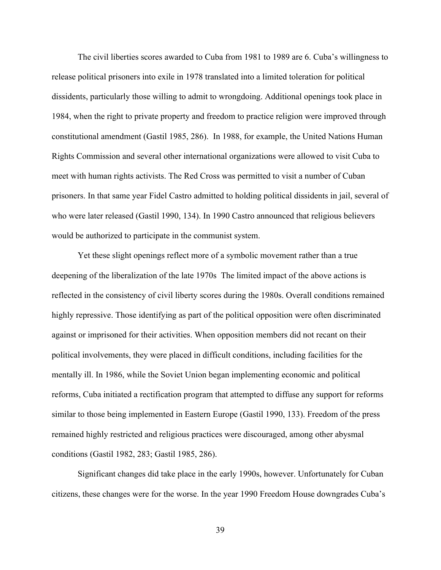The civil liberties scores awarded to Cuba from 1981 to 1989 are 6. Cuba's willingness to release political prisoners into exile in 1978 translated into a limited toleration for political dissidents, particularly those willing to admit to wrongdoing. Additional openings took place in 1984, when the right to private property and freedom to practice religion were improved through constitutional amendment (Gastil 1985, 286). In 1988, for example, the United Nations Human Rights Commission and several other international organizations were allowed to visit Cuba to meet with human rights activists. The Red Cross was permitted to visit a number of Cuban prisoners. In that same year Fidel Castro admitted to holding political dissidents in jail, several of who were later released (Gastil 1990, 134). In 1990 Castro announced that religious believers would be authorized to participate in the communist system.

Yet these slight openings reflect more of a symbolic movement rather than a true deepening of the liberalization of the late 1970s The limited impact of the above actions is reflected in the consistency of civil liberty scores during the 1980s. Overall conditions remained highly repressive. Those identifying as part of the political opposition were often discriminated against or imprisoned for their activities. When opposition members did not recant on their political involvements, they were placed in difficult conditions, including facilities for the mentally ill. In 1986, while the Soviet Union began implementing economic and political reforms, Cuba initiated a rectification program that attempted to diffuse any support for reforms similar to those being implemented in Eastern Europe (Gastil 1990, 133). Freedom of the press remained highly restricted and religious practices were discouraged, among other abysmal conditions (Gastil 1982, 283; Gastil 1985, 286).

Significant changes did take place in the early 1990s, however. Unfortunately for Cuban citizens, these changes were for the worse. In the year 1990 Freedom House downgrades Cuba's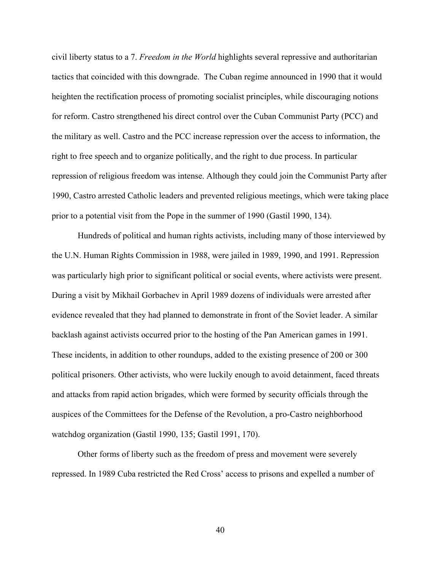civil liberty status to a 7. *Freedom in the World* highlights several repressive and authoritarian tactics that coincided with this downgrade. The Cuban regime announced in 1990 that it would heighten the rectification process of promoting socialist principles, while discouraging notions for reform. Castro strengthened his direct control over the Cuban Communist Party (PCC) and the military as well. Castro and the PCC increase repression over the access to information, the right to free speech and to organize politically, and the right to due process. In particular repression of religious freedom was intense. Although they could join the Communist Party after 1990, Castro arrested Catholic leaders and prevented religious meetings, which were taking place prior to a potential visit from the Pope in the summer of 1990 (Gastil 1990, 134).

Hundreds of political and human rights activists, including many of those interviewed by the U.N. Human Rights Commission in 1988, were jailed in 1989, 1990, and 1991. Repression was particularly high prior to significant political or social events, where activists were present. During a visit by Mikhail Gorbachev in April 1989 dozens of individuals were arrested after evidence revealed that they had planned to demonstrate in front of the Soviet leader. A similar backlash against activists occurred prior to the hosting of the Pan American games in 1991. These incidents, in addition to other roundups, added to the existing presence of 200 or 300 political prisoners. Other activists, who were luckily enough to avoid detainment, faced threats and attacks from rapid action brigades, which were formed by security officials through the auspices of the Committees for the Defense of the Revolution, a pro-Castro neighborhood watchdog organization (Gastil 1990, 135; Gastil 1991, 170).

Other forms of liberty such as the freedom of press and movement were severely repressed. In 1989 Cuba restricted the Red Cross' access to prisons and expelled a number of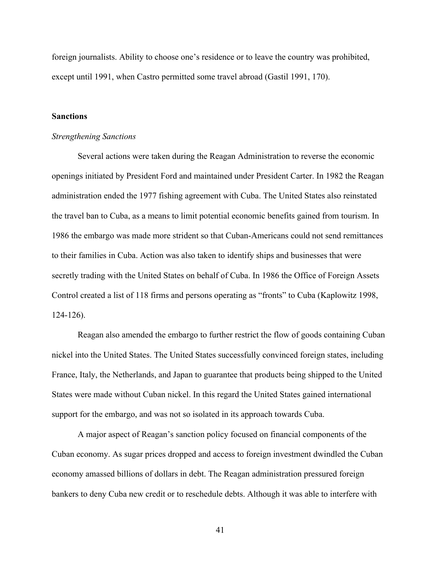foreign journalists. Ability to choose one's residence or to leave the country was prohibited, except until 1991, when Castro permitted some travel abroad (Gastil 1991, 170).

# **Sanctions**

# *Strengthening Sanctions*

Several actions were taken during the Reagan Administration to reverse the economic openings initiated by President Ford and maintained under President Carter. In 1982 the Reagan administration ended the 1977 fishing agreement with Cuba. The United States also reinstated the travel ban to Cuba, as a means to limit potential economic benefits gained from tourism. In 1986 the embargo was made more strident so that Cuban-Americans could not send remittances to their families in Cuba. Action was also taken to identify ships and businesses that were secretly trading with the United States on behalf of Cuba. In 1986 the Office of Foreign Assets Control created a list of 118 firms and persons operating as "fronts" to Cuba (Kaplowitz 1998, 124-126).

Reagan also amended the embargo to further restrict the flow of goods containing Cuban nickel into the United States. The United States successfully convinced foreign states, including France, Italy, the Netherlands, and Japan to guarantee that products being shipped to the United States were made without Cuban nickel. In this regard the United States gained international support for the embargo, and was not so isolated in its approach towards Cuba.

A major aspect of Reagan's sanction policy focused on financial components of the Cuban economy. As sugar prices dropped and access to foreign investment dwindled the Cuban economy amassed billions of dollars in debt. The Reagan administration pressured foreign bankers to deny Cuba new credit or to reschedule debts. Although it was able to interfere with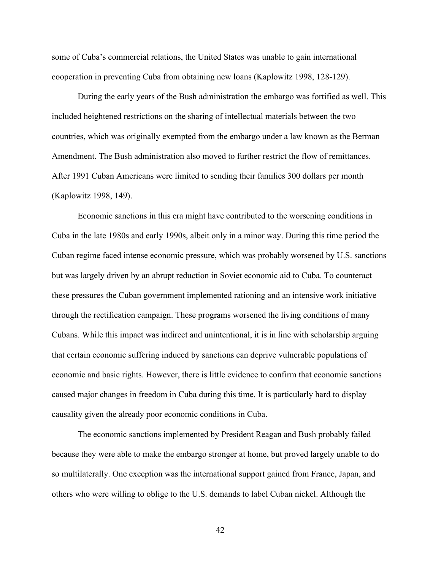some of Cuba's commercial relations, the United States was unable to gain international cooperation in preventing Cuba from obtaining new loans (Kaplowitz 1998, 128-129).

During the early years of the Bush administration the embargo was fortified as well. This included heightened restrictions on the sharing of intellectual materials between the two countries, which was originally exempted from the embargo under a law known as the Berman Amendment. The Bush administration also moved to further restrict the flow of remittances. After 1991 Cuban Americans were limited to sending their families 300 dollars per month (Kaplowitz 1998, 149).

Economic sanctions in this era might have contributed to the worsening conditions in Cuba in the late 1980s and early 1990s, albeit only in a minor way. During this time period the Cuban regime faced intense economic pressure, which was probably worsened by U.S. sanctions but was largely driven by an abrupt reduction in Soviet economic aid to Cuba. To counteract these pressures the Cuban government implemented rationing and an intensive work initiative through the rectification campaign. These programs worsened the living conditions of many Cubans. While this impact was indirect and unintentional, it is in line with scholarship arguing that certain economic suffering induced by sanctions can deprive vulnerable populations of economic and basic rights. However, there is little evidence to confirm that economic sanctions caused major changes in freedom in Cuba during this time. It is particularly hard to display causality given the already poor economic conditions in Cuba.

The economic sanctions implemented by President Reagan and Bush probably failed because they were able to make the embargo stronger at home, but proved largely unable to do so multilaterally. One exception was the international support gained from France, Japan, and others who were willing to oblige to the U.S. demands to label Cuban nickel. Although the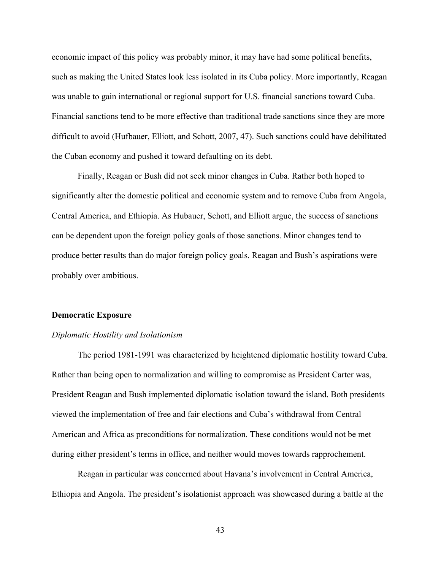economic impact of this policy was probably minor, it may have had some political benefits, such as making the United States look less isolated in its Cuba policy. More importantly, Reagan was unable to gain international or regional support for U.S. financial sanctions toward Cuba. Financial sanctions tend to be more effective than traditional trade sanctions since they are more difficult to avoid (Hufbauer, Elliott, and Schott, 2007, 47). Such sanctions could have debilitated the Cuban economy and pushed it toward defaulting on its debt.

Finally, Reagan or Bush did not seek minor changes in Cuba. Rather both hoped to significantly alter the domestic political and economic system and to remove Cuba from Angola, Central America, and Ethiopia. As Hubauer, Schott, and Elliott argue, the success of sanctions can be dependent upon the foreign policy goals of those sanctions. Minor changes tend to produce better results than do major foreign policy goals. Reagan and Bush's aspirations were probably over ambitious.

#### **Democratic Exposure**

#### *Diplomatic Hostility and Isolationism*

The period 1981-1991 was characterized by heightened diplomatic hostility toward Cuba. Rather than being open to normalization and willing to compromise as President Carter was, President Reagan and Bush implemented diplomatic isolation toward the island. Both presidents viewed the implementation of free and fair elections and Cuba's withdrawal from Central American and Africa as preconditions for normalization. These conditions would not be met during either president's terms in office, and neither would moves towards rapprochement.

Reagan in particular was concerned about Havana's involvement in Central America, Ethiopia and Angola. The president's isolationist approach was showcased during a battle at the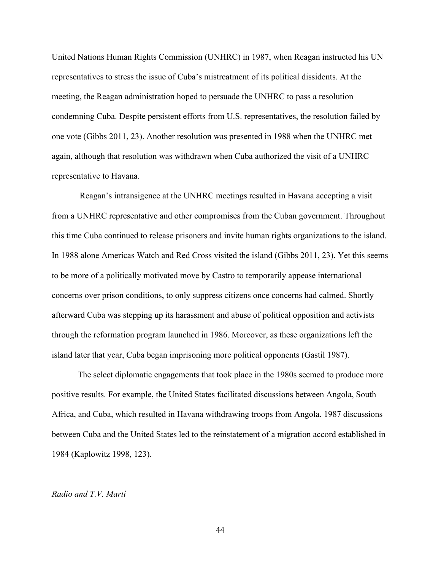United Nations Human Rights Commission (UNHRC) in 1987, when Reagan instructed his UN representatives to stress the issue of Cuba's mistreatment of its political dissidents. At the meeting, the Reagan administration hoped to persuade the UNHRC to pass a resolution condemning Cuba. Despite persistent efforts from U.S. representatives, the resolution failed by one vote (Gibbs 2011, 23). Another resolution was presented in 1988 when the UNHRC met again, although that resolution was withdrawn when Cuba authorized the visit of a UNHRC representative to Havana.

Reagan's intransigence at the UNHRC meetings resulted in Havana accepting a visit from a UNHRC representative and other compromises from the Cuban government. Throughout this time Cuba continued to release prisoners and invite human rights organizations to the island. In 1988 alone Americas Watch and Red Cross visited the island (Gibbs 2011, 23). Yet this seems to be more of a politically motivated move by Castro to temporarily appease international concerns over prison conditions, to only suppress citizens once concerns had calmed. Shortly afterward Cuba was stepping up its harassment and abuse of political opposition and activists through the reformation program launched in 1986. Moreover, as these organizations left the island later that year, Cuba began imprisoning more political opponents (Gastil 1987).

The select diplomatic engagements that took place in the 1980s seemed to produce more positive results. For example, the United States facilitated discussions between Angola, South Africa, and Cuba, which resulted in Havana withdrawing troops from Angola. 1987 discussions between Cuba and the United States led to the reinstatement of a migration accord established in 1984 (Kaplowitz 1998, 123).

# *Radio and T.V. Martí*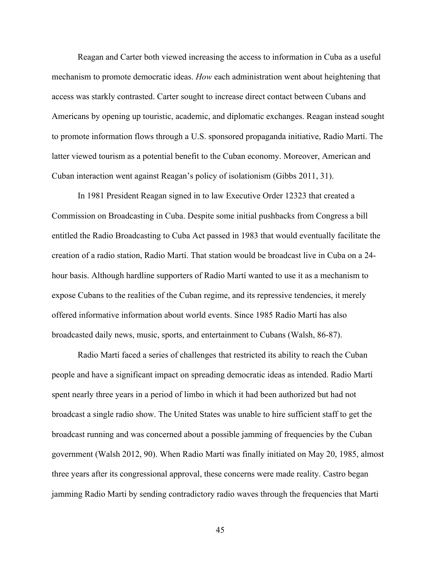Reagan and Carter both viewed increasing the access to information in Cuba as a useful mechanism to promote democratic ideas. *How* each administration went about heightening that access was starkly contrasted. Carter sought to increase direct contact between Cubans and Americans by opening up touristic, academic, and diplomatic exchanges. Reagan instead sought to promote information flows through a U.S. sponsored propaganda initiative, Radio Martí. The latter viewed tourism as a potential benefit to the Cuban economy. Moreover, American and Cuban interaction went against Reagan's policy of isolationism (Gibbs 2011, 31).

In 1981 President Reagan signed in to law Executive Order 12323 that created a Commission on Broadcasting in Cuba. Despite some initial pushbacks from Congress a bill entitled the Radio Broadcasting to Cuba Act passed in 1983 that would eventually facilitate the creation of a radio station, Radio Martí. That station would be broadcast live in Cuba on a 24 hour basis. Although hardline supporters of Radio Martí wanted to use it as a mechanism to expose Cubans to the realities of the Cuban regime, and its repressive tendencies, it merely offered informative information about world events. Since 1985 Radio Martí has also broadcasted daily news, music, sports, and entertainment to Cubans (Walsh, 86-87).

Radio Martí faced a series of challenges that restricted its ability to reach the Cuban people and have a significant impact on spreading democratic ideas as intended. Radio Martí spent nearly three years in a period of limbo in which it had been authorized but had not broadcast a single radio show. The United States was unable to hire sufficient staff to get the broadcast running and was concerned about a possible jamming of frequencies by the Cuban government (Walsh 2012, 90). When Radio Martí was finally initiated on May 20, 1985, almost three years after its congressional approval, these concerns were made reality. Castro began jamming Radio Marti by sending contradictory radio waves through the frequencies that Marti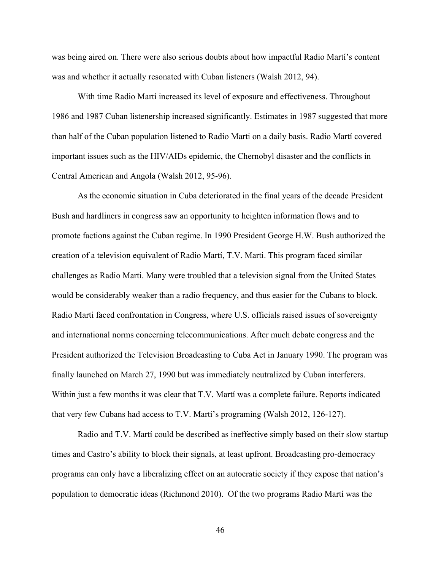was being aired on. There were also serious doubts about how impactful Radio Martí's content was and whether it actually resonated with Cuban listeners (Walsh 2012, 94).

With time Radio Martí increased its level of exposure and effectiveness. Throughout 1986 and 1987 Cuban listenership increased significantly. Estimates in 1987 suggested that more than half of the Cuban population listened to Radio Marti on a daily basis. Radio Martí covered important issues such as the HIV/AIDs epidemic, the Chernobyl disaster and the conflicts in Central American and Angola (Walsh 2012, 95-96).

As the economic situation in Cuba deteriorated in the final years of the decade President Bush and hardliners in congress saw an opportunity to heighten information flows and to promote factions against the Cuban regime. In 1990 President George H.W. Bush authorized the creation of a television equivalent of Radio Martí, T.V. Marti. This program faced similar challenges as Radio Marti. Many were troubled that a television signal from the United States would be considerably weaker than a radio frequency, and thus easier for the Cubans to block. Radio Marti faced confrontation in Congress, where U.S. officials raised issues of sovereignty and international norms concerning telecommunications. After much debate congress and the President authorized the Television Broadcasting to Cuba Act in January 1990. The program was finally launched on March 27, 1990 but was immediately neutralized by Cuban interferers. Within just a few months it was clear that T.V. Martí was a complete failure. Reports indicated that very few Cubans had access to T.V. Martí's programing (Walsh 2012, 126-127).

Radio and T.V. Martí could be described as ineffective simply based on their slow startup times and Castro's ability to block their signals, at least upfront. Broadcasting pro-democracy programs can only have a liberalizing effect on an autocratic society if they expose that nation's population to democratic ideas (Richmond 2010). Of the two programs Radio Martí was the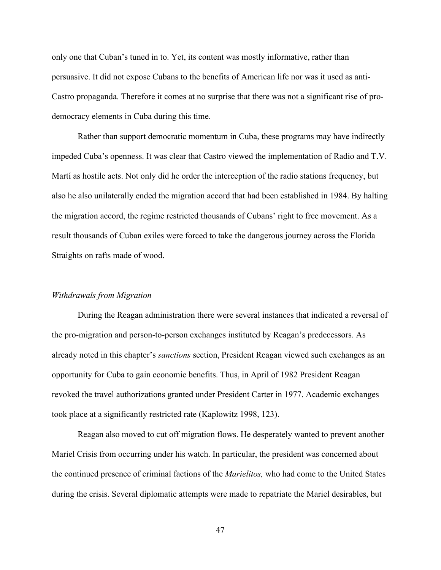only one that Cuban's tuned in to. Yet, its content was mostly informative, rather than persuasive. It did not expose Cubans to the benefits of American life nor was it used as anti-Castro propaganda. Therefore it comes at no surprise that there was not a significant rise of prodemocracy elements in Cuba during this time.

Rather than support democratic momentum in Cuba, these programs may have indirectly impeded Cuba's openness. It was clear that Castro viewed the implementation of Radio and T.V. Martí as hostile acts. Not only did he order the interception of the radio stations frequency, but also he also unilaterally ended the migration accord that had been established in 1984. By halting the migration accord, the regime restricted thousands of Cubans' right to free movement. As a result thousands of Cuban exiles were forced to take the dangerous journey across the Florida Straights on rafts made of wood.

# *Withdrawals from Migration*

During the Reagan administration there were several instances that indicated a reversal of the pro-migration and person-to-person exchanges instituted by Reagan's predecessors. As already noted in this chapter's *sanctions* section, President Reagan viewed such exchanges as an opportunity for Cuba to gain economic benefits. Thus, in April of 1982 President Reagan revoked the travel authorizations granted under President Carter in 1977. Academic exchanges took place at a significantly restricted rate (Kaplowitz 1998, 123).

Reagan also moved to cut off migration flows. He desperately wanted to prevent another Mariel Crisis from occurring under his watch. In particular, the president was concerned about the continued presence of criminal factions of the *Marielitos,* who had come to the United States during the crisis. Several diplomatic attempts were made to repatriate the Mariel desirables, but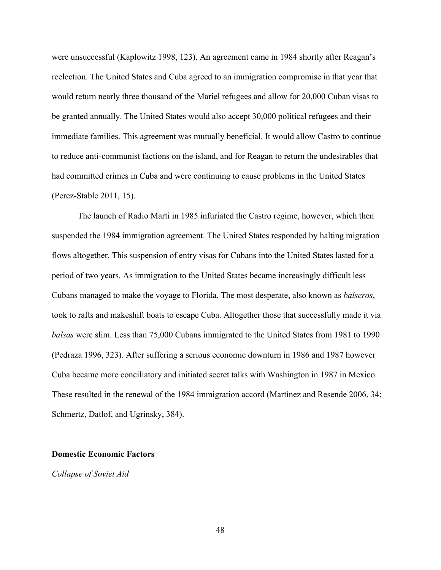were unsuccessful (Kaplowitz 1998, 123). An agreement came in 1984 shortly after Reagan's reelection. The United States and Cuba agreed to an immigration compromise in that year that would return nearly three thousand of the Mariel refugees and allow for 20,000 Cuban visas to be granted annually. The United States would also accept 30,000 political refugees and their immediate families. This agreement was mutually beneficial. It would allow Castro to continue to reduce anti-communist factions on the island, and for Reagan to return the undesirables that had committed crimes in Cuba and were continuing to cause problems in the United States (Perez-Stable 2011, 15).

The launch of Radio Marti in 1985 infuriated the Castro regime, however, which then suspended the 1984 immigration agreement. The United States responded by halting migration flows altogether. This suspension of entry visas for Cubans into the United States lasted for a period of two years. As immigration to the United States became increasingly difficult less Cubans managed to make the voyage to Florida. The most desperate, also known as *balseros*, took to rafts and makeshift boats to escape Cuba. Altogether those that successfully made it via *balsas* were slim. Less than 75,000 Cubans immigrated to the United States from 1981 to 1990 (Pedraza 1996, 323). After suffering a serious economic downturn in 1986 and 1987 however Cuba became more conciliatory and initiated secret talks with Washington in 1987 in Mexico. These resulted in the renewal of the 1984 immigration accord (Martínez and Resende 2006, 34; Schmertz, Datlof, and Ugrinsky, 384).

#### **Domestic Economic Factors**

*Collapse of Soviet Aid*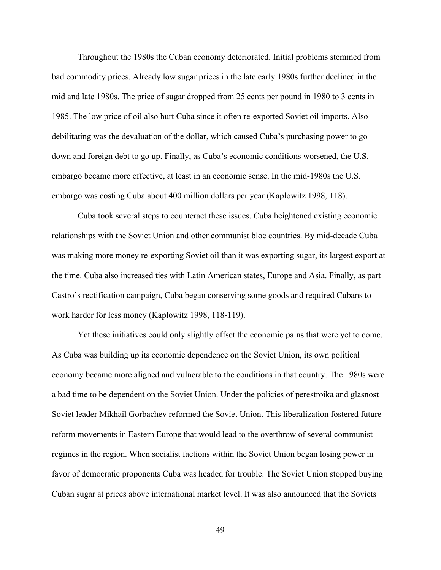Throughout the 1980s the Cuban economy deteriorated. Initial problems stemmed from bad commodity prices. Already low sugar prices in the late early 1980s further declined in the mid and late 1980s. The price of sugar dropped from 25 cents per pound in 1980 to 3 cents in 1985. The low price of oil also hurt Cuba since it often re-exported Soviet oil imports. Also debilitating was the devaluation of the dollar, which caused Cuba's purchasing power to go down and foreign debt to go up. Finally, as Cuba's economic conditions worsened, the U.S. embargo became more effective, at least in an economic sense. In the mid-1980s the U.S. embargo was costing Cuba about 400 million dollars per year (Kaplowitz 1998, 118).

Cuba took several steps to counteract these issues. Cuba heightened existing economic relationships with the Soviet Union and other communist bloc countries. By mid-decade Cuba was making more money re-exporting Soviet oil than it was exporting sugar, its largest export at the time. Cuba also increased ties with Latin American states, Europe and Asia. Finally, as part Castro's rectification campaign, Cuba began conserving some goods and required Cubans to work harder for less money (Kaplowitz 1998, 118-119).

Yet these initiatives could only slightly offset the economic pains that were yet to come. As Cuba was building up its economic dependence on the Soviet Union, its own political economy became more aligned and vulnerable to the conditions in that country. The 1980s were a bad time to be dependent on the Soviet Union. Under the policies of perestroika and glasnost Soviet leader Mikhail Gorbachev reformed the Soviet Union. This liberalization fostered future reform movements in Eastern Europe that would lead to the overthrow of several communist regimes in the region. When socialist factions within the Soviet Union began losing power in favor of democratic proponents Cuba was headed for trouble. The Soviet Union stopped buying Cuban sugar at prices above international market level. It was also announced that the Soviets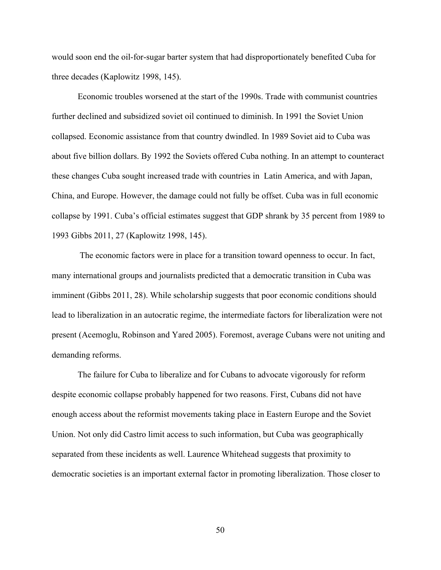would soon end the oil-for-sugar barter system that had disproportionately benefited Cuba for three decades (Kaplowitz 1998, 145).

Economic troubles worsened at the start of the 1990s. Trade with communist countries further declined and subsidized soviet oil continued to diminish. In 1991 the Soviet Union collapsed. Economic assistance from that country dwindled. In 1989 Soviet aid to Cuba was about five billion dollars. By 1992 the Soviets offered Cuba nothing. In an attempt to counteract these changes Cuba sought increased trade with countries in Latin America, and with Japan, China, and Europe. However, the damage could not fully be offset. Cuba was in full economic collapse by 1991. Cuba's official estimates suggest that GDP shrank by 35 percent from 1989 to 1993 Gibbs 2011, 27 (Kaplowitz 1998, 145).

The economic factors were in place for a transition toward openness to occur. In fact, many international groups and journalists predicted that a democratic transition in Cuba was imminent (Gibbs 2011, 28). While scholarship suggests that poor economic conditions should lead to liberalization in an autocratic regime, the intermediate factors for liberalization were not present (Acemoglu, Robinson and Yared 2005). Foremost, average Cubans were not uniting and demanding reforms.

The failure for Cuba to liberalize and for Cubans to advocate vigorously for reform despite economic collapse probably happened for two reasons. First, Cubans did not have enough access about the reformist movements taking place in Eastern Europe and the Soviet Union. Not only did Castro limit access to such information, but Cuba was geographically separated from these incidents as well. Laurence Whitehead suggests that proximity to democratic societies is an important external factor in promoting liberalization. Those closer to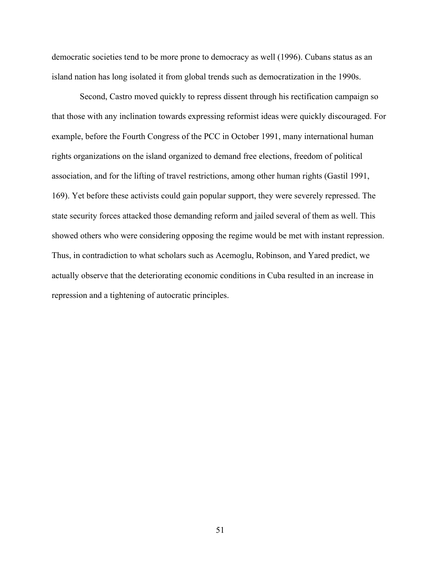democratic societies tend to be more prone to democracy as well (1996). Cubans status as an island nation has long isolated it from global trends such as democratization in the 1990s.

Second, Castro moved quickly to repress dissent through his rectification campaign so that those with any inclination towards expressing reformist ideas were quickly discouraged. For example, before the Fourth Congress of the PCC in October 1991, many international human rights organizations on the island organized to demand free elections, freedom of political association, and for the lifting of travel restrictions, among other human rights (Gastil 1991, 169). Yet before these activists could gain popular support, they were severely repressed. The state security forces attacked those demanding reform and jailed several of them as well. This showed others who were considering opposing the regime would be met with instant repression. Thus, in contradiction to what scholars such as Acemoglu, Robinson, and Yared predict, we actually observe that the deteriorating economic conditions in Cuba resulted in an increase in repression and a tightening of autocratic principles.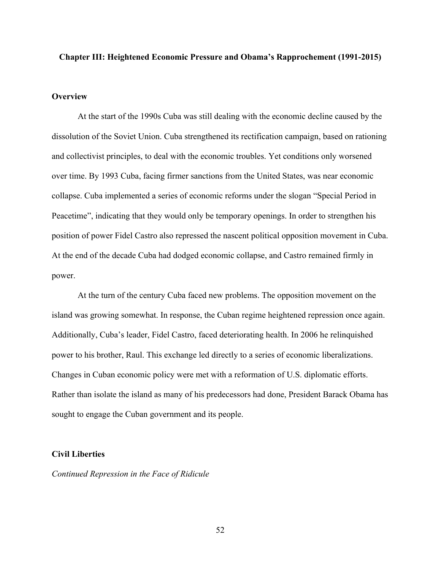# **Chapter III: Heightened Economic Pressure and Obama's Rapprochement (1991-2015)**

# **Overview**

At the start of the 1990s Cuba was still dealing with the economic decline caused by the dissolution of the Soviet Union. Cuba strengthened its rectification campaign, based on rationing and collectivist principles, to deal with the economic troubles. Yet conditions only worsened over time. By 1993 Cuba, facing firmer sanctions from the United States, was near economic collapse. Cuba implemented a series of economic reforms under the slogan "Special Period in Peacetime", indicating that they would only be temporary openings. In order to strengthen his position of power Fidel Castro also repressed the nascent political opposition movement in Cuba. At the end of the decade Cuba had dodged economic collapse, and Castro remained firmly in power.

At the turn of the century Cuba faced new problems. The opposition movement on the island was growing somewhat. In response, the Cuban regime heightened repression once again. Additionally, Cuba's leader, Fidel Castro, faced deteriorating health. In 2006 he relinquished power to his brother, Raul. This exchange led directly to a series of economic liberalizations. Changes in Cuban economic policy were met with a reformation of U.S. diplomatic efforts. Rather than isolate the island as many of his predecessors had done, President Barack Obama has sought to engage the Cuban government and its people.

# **Civil Liberties**

*Continued Repression in the Face of Ridicule*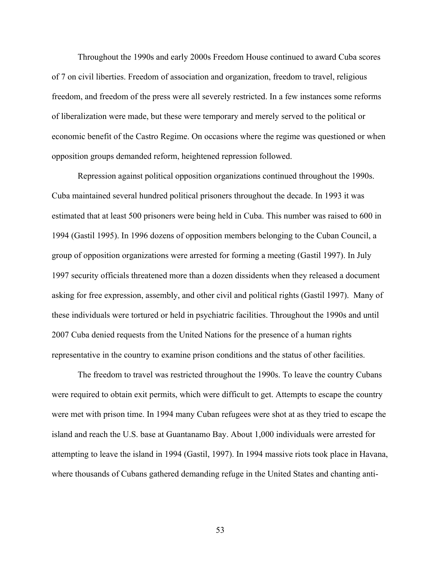Throughout the 1990s and early 2000s Freedom House continued to award Cuba scores of 7 on civil liberties. Freedom of association and organization, freedom to travel, religious freedom, and freedom of the press were all severely restricted. In a few instances some reforms of liberalization were made, but these were temporary and merely served to the political or economic benefit of the Castro Regime. On occasions where the regime was questioned or when opposition groups demanded reform, heightened repression followed.

Repression against political opposition organizations continued throughout the 1990s. Cuba maintained several hundred political prisoners throughout the decade. In 1993 it was estimated that at least 500 prisoners were being held in Cuba. This number was raised to 600 in 1994 (Gastil 1995). In 1996 dozens of opposition members belonging to the Cuban Council, a group of opposition organizations were arrested for forming a meeting (Gastil 1997). In July 1997 security officials threatened more than a dozen dissidents when they released a document asking for free expression, assembly, and other civil and political rights (Gastil 1997). Many of these individuals were tortured or held in psychiatric facilities. Throughout the 1990s and until 2007 Cuba denied requests from the United Nations for the presence of a human rights representative in the country to examine prison conditions and the status of other facilities.

The freedom to travel was restricted throughout the 1990s. To leave the country Cubans were required to obtain exit permits, which were difficult to get. Attempts to escape the country were met with prison time. In 1994 many Cuban refugees were shot at as they tried to escape the island and reach the U.S. base at Guantanamo Bay. About 1,000 individuals were arrested for attempting to leave the island in 1994 (Gastil, 1997). In 1994 massive riots took place in Havana, where thousands of Cubans gathered demanding refuge in the United States and chanting anti-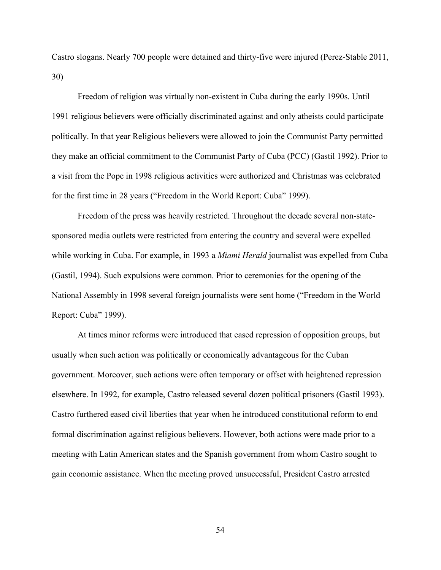Castro slogans. Nearly 700 people were detained and thirty-five were injured (Perez-Stable 2011, 30)

Freedom of religion was virtually non-existent in Cuba during the early 1990s. Until 1991 religious believers were officially discriminated against and only atheists could participate politically. In that year Religious believers were allowed to join the Communist Party permitted they make an official commitment to the Communist Party of Cuba (PCC) (Gastil 1992). Prior to a visit from the Pope in 1998 religious activities were authorized and Christmas was celebrated for the first time in 28 years ("Freedom in the World Report: Cuba" 1999).

Freedom of the press was heavily restricted. Throughout the decade several non-statesponsored media outlets were restricted from entering the country and several were expelled while working in Cuba. For example, in 1993 a *Miami Herald* journalist was expelled from Cuba (Gastil, 1994). Such expulsions were common. Prior to ceremonies for the opening of the National Assembly in 1998 several foreign journalists were sent home ("Freedom in the World Report: Cuba" 1999).

At times minor reforms were introduced that eased repression of opposition groups, but usually when such action was politically or economically advantageous for the Cuban government. Moreover, such actions were often temporary or offset with heightened repression elsewhere. In 1992, for example, Castro released several dozen political prisoners (Gastil 1993). Castro furthered eased civil liberties that year when he introduced constitutional reform to end formal discrimination against religious believers. However, both actions were made prior to a meeting with Latin American states and the Spanish government from whom Castro sought to gain economic assistance. When the meeting proved unsuccessful, President Castro arrested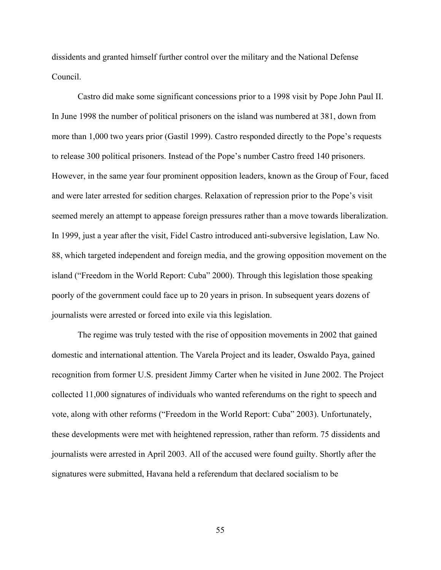dissidents and granted himself further control over the military and the National Defense Council.

Castro did make some significant concessions prior to a 1998 visit by Pope John Paul II. In June 1998 the number of political prisoners on the island was numbered at 381, down from more than 1,000 two years prior (Gastil 1999). Castro responded directly to the Pope's requests to release 300 political prisoners. Instead of the Pope's number Castro freed 140 prisoners. However, in the same year four prominent opposition leaders, known as the Group of Four, faced and were later arrested for sedition charges. Relaxation of repression prior to the Pope's visit seemed merely an attempt to appease foreign pressures rather than a move towards liberalization. In 1999, just a year after the visit, Fidel Castro introduced anti-subversive legislation, Law No. 88, which targeted independent and foreign media, and the growing opposition movement on the island ("Freedom in the World Report: Cuba" 2000). Through this legislation those speaking poorly of the government could face up to 20 years in prison. In subsequent years dozens of journalists were arrested or forced into exile via this legislation.

The regime was truly tested with the rise of opposition movements in 2002 that gained domestic and international attention. The Varela Project and its leader, Oswaldo Paya, gained recognition from former U.S. president Jimmy Carter when he visited in June 2002. The Project collected 11,000 signatures of individuals who wanted referendums on the right to speech and vote, along with other reforms ("Freedom in the World Report: Cuba" 2003). Unfortunately, these developments were met with heightened repression, rather than reform. 75 dissidents and journalists were arrested in April 2003. All of the accused were found guilty. Shortly after the signatures were submitted, Havana held a referendum that declared socialism to be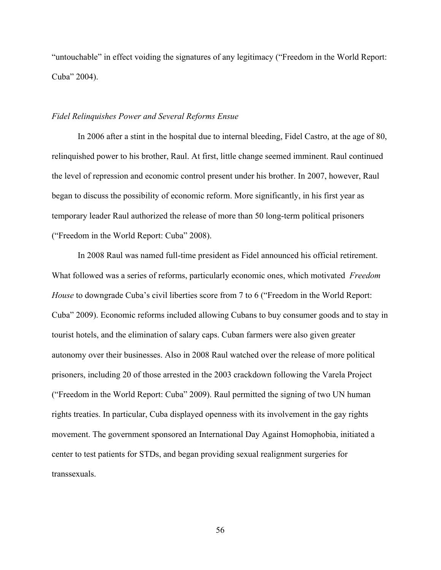"untouchable" in effect voiding the signatures of any legitimacy ("Freedom in the World Report: Cuba" 2004).

### *Fidel Relinquishes Power and Several Reforms Ensue*

In 2006 after a stint in the hospital due to internal bleeding, Fidel Castro, at the age of 80, relinquished power to his brother, Raul. At first, little change seemed imminent. Raul continued the level of repression and economic control present under his brother. In 2007, however, Raul began to discuss the possibility of economic reform. More significantly, in his first year as temporary leader Raul authorized the release of more than 50 long-term political prisoners ("Freedom in the World Report: Cuba" 2008).

In 2008 Raul was named full-time president as Fidel announced his official retirement. What followed was a series of reforms, particularly economic ones, which motivated *Freedom House* to downgrade Cuba's civil liberties score from 7 to 6 ("Freedom in the World Report: Cuba" 2009). Economic reforms included allowing Cubans to buy consumer goods and to stay in tourist hotels, and the elimination of salary caps. Cuban farmers were also given greater autonomy over their businesses. Also in 2008 Raul watched over the release of more political prisoners, including 20 of those arrested in the 2003 crackdown following the Varela Project ("Freedom in the World Report: Cuba" 2009). Raul permitted the signing of two UN human rights treaties. In particular, Cuba displayed openness with its involvement in the gay rights movement. The government sponsored an International Day Against Homophobia, initiated a center to test patients for STDs, and began providing sexual realignment surgeries for transsexuals.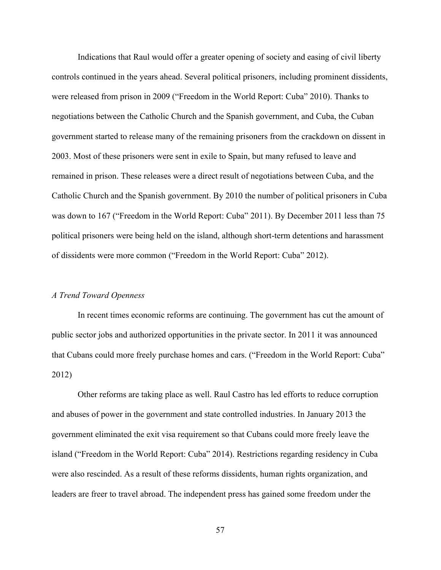Indications that Raul would offer a greater opening of society and easing of civil liberty controls continued in the years ahead. Several political prisoners, including prominent dissidents, were released from prison in 2009 ("Freedom in the World Report: Cuba" 2010). Thanks to negotiations between the Catholic Church and the Spanish government, and Cuba, the Cuban government started to release many of the remaining prisoners from the crackdown on dissent in 2003. Most of these prisoners were sent in exile to Spain, but many refused to leave and remained in prison. These releases were a direct result of negotiations between Cuba, and the Catholic Church and the Spanish government. By 2010 the number of political prisoners in Cuba was down to 167 ("Freedom in the World Report: Cuba" 2011). By December 2011 less than 75 political prisoners were being held on the island, although short-term detentions and harassment of dissidents were more common ("Freedom in the World Report: Cuba" 2012).

# *A Trend Toward Openness*

In recent times economic reforms are continuing. The government has cut the amount of public sector jobs and authorized opportunities in the private sector. In 2011 it was announced that Cubans could more freely purchase homes and cars. ("Freedom in the World Report: Cuba" 2012)

Other reforms are taking place as well. Raul Castro has led efforts to reduce corruption and abuses of power in the government and state controlled industries. In January 2013 the government eliminated the exit visa requirement so that Cubans could more freely leave the island ("Freedom in the World Report: Cuba" 2014). Restrictions regarding residency in Cuba were also rescinded. As a result of these reforms dissidents, human rights organization, and leaders are freer to travel abroad. The independent press has gained some freedom under the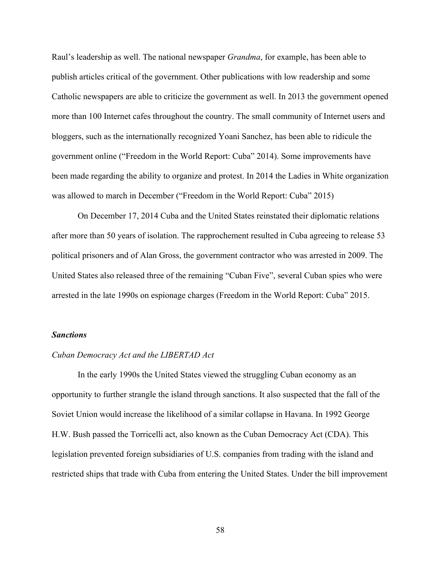Raul's leadership as well. The national newspaper *Grandma*, for example, has been able to publish articles critical of the government. Other publications with low readership and some Catholic newspapers are able to criticize the government as well. In 2013 the government opened more than 100 Internet cafes throughout the country. The small community of Internet users and bloggers, such as the internationally recognized Yoani Sanchez, has been able to ridicule the government online ("Freedom in the World Report: Cuba" 2014). Some improvements have been made regarding the ability to organize and protest. In 2014 the Ladies in White organization was allowed to march in December ("Freedom in the World Report: Cuba" 2015)

On December 17, 2014 Cuba and the United States reinstated their diplomatic relations after more than 50 years of isolation. The rapprochement resulted in Cuba agreeing to release 53 political prisoners and of Alan Gross, the government contractor who was arrested in 2009. The United States also released three of the remaining "Cuban Five", several Cuban spies who were arrested in the late 1990s on espionage charges (Freedom in the World Report: Cuba" 2015.

### *Sanctions*

# *Cuban Democracy Act and the LIBERTAD Act*

In the early 1990s the United States viewed the struggling Cuban economy as an opportunity to further strangle the island through sanctions. It also suspected that the fall of the Soviet Union would increase the likelihood of a similar collapse in Havana. In 1992 George H.W. Bush passed the Torricelli act, also known as the Cuban Democracy Act (CDA). This legislation prevented foreign subsidiaries of U.S. companies from trading with the island and restricted ships that trade with Cuba from entering the United States. Under the bill improvement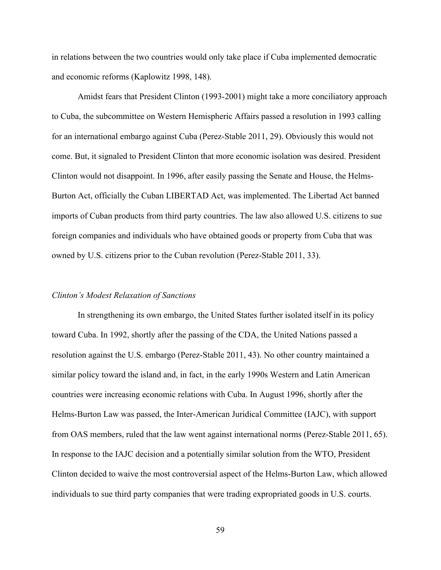in relations between the two countries would only take place if Cuba implemented democratic and economic reforms (Kaplowitz 1998, 148).

Amidst fears that President Clinton (1993-2001) might take a more conciliatory approach to Cuba, the subcommittee on Western Hemispheric Affairs passed a resolution in 1993 calling for an international embargo against Cuba (Perez-Stable 2011, 29). Obviously this would not come. But, it signaled to President Clinton that more economic isolation was desired. President Clinton would not disappoint. In 1996, after easily passing the Senate and House, the Helms-Burton Act, officially the Cuban LIBERTAD Act, was implemented. The Libertad Act banned imports of Cuban products from third party countries. The law also allowed U.S. citizens to sue foreign companies and individuals who have obtained goods or property from Cuba that was owned by U.S. citizens prior to the Cuban revolution (Perez-Stable 2011, 33).

### *Clinton's Modest Relaxation of Sanctions*

In strengthening its own embargo, the United States further isolated itself in its policy toward Cuba. In 1992, shortly after the passing of the CDA, the United Nations passed a resolution against the U.S. embargo (Perez-Stable 2011, 43). No other country maintained a similar policy toward the island and, in fact, in the early 1990s Western and Latin American countries were increasing economic relations with Cuba. In August 1996, shortly after the Helms-Burton Law was passed, the Inter-American Juridical Committee (IAJC), with support from OAS members, ruled that the law went against international norms (Perez-Stable 2011, 65). In response to the IAJC decision and a potentially similar solution from the WTO, President Clinton decided to waive the most controversial aspect of the Helms-Burton Law, which allowed individuals to sue third party companies that were trading expropriated goods in U.S. courts.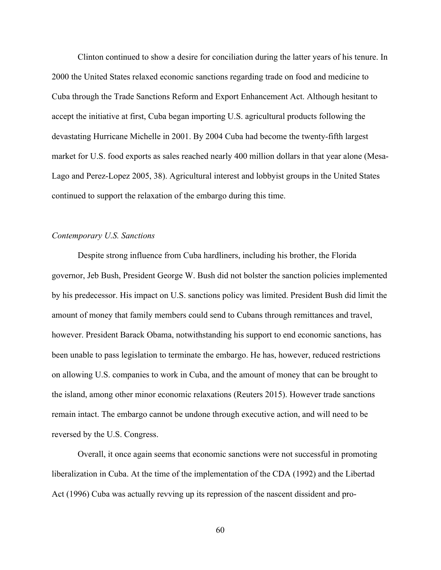Clinton continued to show a desire for conciliation during the latter years of his tenure. In 2000 the United States relaxed economic sanctions regarding trade on food and medicine to Cuba through the Trade Sanctions Reform and Export Enhancement Act. Although hesitant to accept the initiative at first, Cuba began importing U.S. agricultural products following the devastating Hurricane Michelle in 2001. By 2004 Cuba had become the twenty-fifth largest market for U.S. food exports as sales reached nearly 400 million dollars in that year alone (Mesa-Lago and Perez-Lopez 2005, 38). Agricultural interest and lobbyist groups in the United States continued to support the relaxation of the embargo during this time.

# *Contemporary U.S. Sanctions*

Despite strong influence from Cuba hardliners, including his brother, the Florida governor, Jeb Bush, President George W. Bush did not bolster the sanction policies implemented by his predecessor. His impact on U.S. sanctions policy was limited. President Bush did limit the amount of money that family members could send to Cubans through remittances and travel, however. President Barack Obama, notwithstanding his support to end economic sanctions, has been unable to pass legislation to terminate the embargo. He has, however, reduced restrictions on allowing U.S. companies to work in Cuba, and the amount of money that can be brought to the island, among other minor economic relaxations (Reuters 2015). However trade sanctions remain intact. The embargo cannot be undone through executive action, and will need to be reversed by the U.S. Congress.

Overall, it once again seems that economic sanctions were not successful in promoting liberalization in Cuba. At the time of the implementation of the CDA (1992) and the Libertad Act (1996) Cuba was actually revving up its repression of the nascent dissident and pro-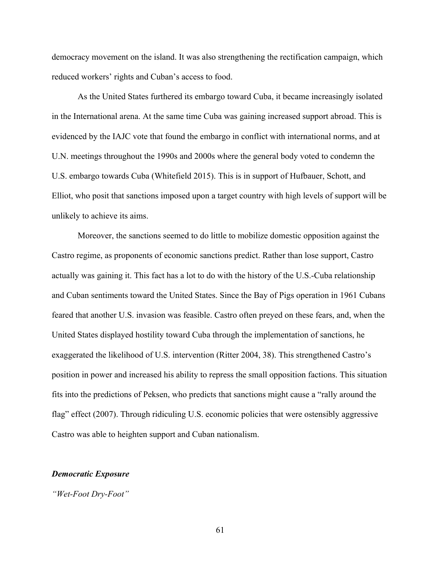democracy movement on the island. It was also strengthening the rectification campaign, which reduced workers' rights and Cuban's access to food.

As the United States furthered its embargo toward Cuba, it became increasingly isolated in the International arena. At the same time Cuba was gaining increased support abroad. This is evidenced by the IAJC vote that found the embargo in conflict with international norms, and at U.N. meetings throughout the 1990s and 2000s where the general body voted to condemn the U.S. embargo towards Cuba (Whitefield 2015). This is in support of Hufbauer, Schott, and Elliot, who posit that sanctions imposed upon a target country with high levels of support will be unlikely to achieve its aims.

Moreover, the sanctions seemed to do little to mobilize domestic opposition against the Castro regime, as proponents of economic sanctions predict. Rather than lose support, Castro actually was gaining it. This fact has a lot to do with the history of the U.S.-Cuba relationship and Cuban sentiments toward the United States. Since the Bay of Pigs operation in 1961 Cubans feared that another U.S. invasion was feasible. Castro often preyed on these fears, and, when the United States displayed hostility toward Cuba through the implementation of sanctions, he exaggerated the likelihood of U.S. intervention (Ritter 2004, 38). This strengthened Castro's position in power and increased his ability to repress the small opposition factions. This situation fits into the predictions of Peksen, who predicts that sanctions might cause a "rally around the flag" effect (2007). Through ridiculing U.S. economic policies that were ostensibly aggressive Castro was able to heighten support and Cuban nationalism.

### *Democratic Exposure*

*"Wet-Foot Dry-Foot"*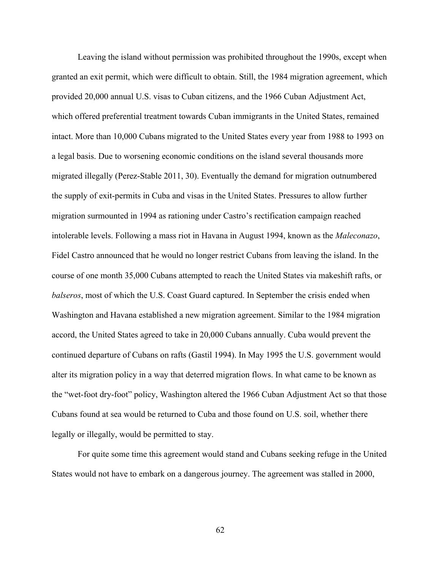Leaving the island without permission was prohibited throughout the 1990s, except when granted an exit permit, which were difficult to obtain. Still, the 1984 migration agreement, which provided 20,000 annual U.S. visas to Cuban citizens, and the 1966 Cuban Adjustment Act, which offered preferential treatment towards Cuban immigrants in the United States, remained intact. More than 10,000 Cubans migrated to the United States every year from 1988 to 1993 on a legal basis. Due to worsening economic conditions on the island several thousands more migrated illegally (Perez-Stable 2011, 30). Eventually the demand for migration outnumbered the supply of exit-permits in Cuba and visas in the United States. Pressures to allow further migration surmounted in 1994 as rationing under Castro's rectification campaign reached intolerable levels. Following a mass riot in Havana in August 1994, known as the *Maleconazo*, Fidel Castro announced that he would no longer restrict Cubans from leaving the island. In the course of one month 35,000 Cubans attempted to reach the United States via makeshift rafts, or *balseros*, most of which the U.S. Coast Guard captured. In September the crisis ended when Washington and Havana established a new migration agreement. Similar to the 1984 migration accord, the United States agreed to take in 20,000 Cubans annually. Cuba would prevent the continued departure of Cubans on rafts (Gastil 1994). In May 1995 the U.S. government would alter its migration policy in a way that deterred migration flows. In what came to be known as the "wet-foot dry-foot" policy, Washington altered the 1966 Cuban Adjustment Act so that those Cubans found at sea would be returned to Cuba and those found on U.S. soil, whether there legally or illegally, would be permitted to stay.

For quite some time this agreement would stand and Cubans seeking refuge in the United States would not have to embark on a dangerous journey. The agreement was stalled in 2000,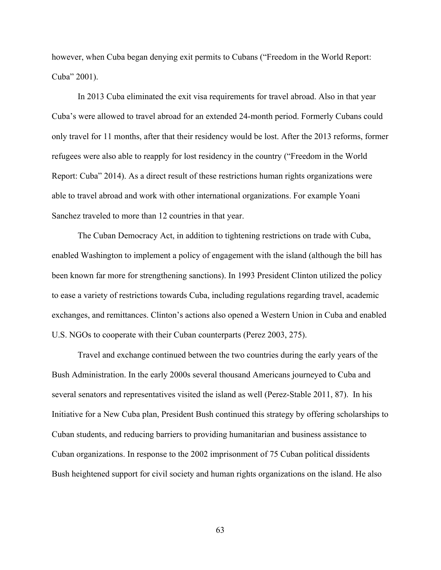however, when Cuba began denying exit permits to Cubans ("Freedom in the World Report: Cuba" 2001).

In 2013 Cuba eliminated the exit visa requirements for travel abroad. Also in that year Cuba's were allowed to travel abroad for an extended 24-month period. Formerly Cubans could only travel for 11 months, after that their residency would be lost. After the 2013 reforms, former refugees were also able to reapply for lost residency in the country ("Freedom in the World Report: Cuba" 2014). As a direct result of these restrictions human rights organizations were able to travel abroad and work with other international organizations. For example Yoani Sanchez traveled to more than 12 countries in that year.

The Cuban Democracy Act, in addition to tightening restrictions on trade with Cuba, enabled Washington to implement a policy of engagement with the island (although the bill has been known far more for strengthening sanctions). In 1993 President Clinton utilized the policy to ease a variety of restrictions towards Cuba, including regulations regarding travel, academic exchanges, and remittances. Clinton's actions also opened a Western Union in Cuba and enabled U.S. NGOs to cooperate with their Cuban counterparts (Perez 2003, 275).

Travel and exchange continued between the two countries during the early years of the Bush Administration. In the early 2000s several thousand Americans journeyed to Cuba and several senators and representatives visited the island as well (Perez-Stable 2011, 87). In his Initiative for a New Cuba plan, President Bush continued this strategy by offering scholarships to Cuban students, and reducing barriers to providing humanitarian and business assistance to Cuban organizations. In response to the 2002 imprisonment of 75 Cuban political dissidents Bush heightened support for civil society and human rights organizations on the island. He also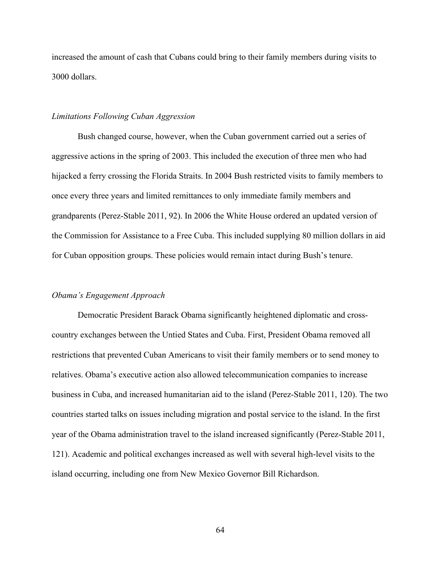increased the amount of cash that Cubans could bring to their family members during visits to 3000 dollars.

### *Limitations Following Cuban Aggression*

Bush changed course, however, when the Cuban government carried out a series of aggressive actions in the spring of 2003. This included the execution of three men who had hijacked a ferry crossing the Florida Straits. In 2004 Bush restricted visits to family members to once every three years and limited remittances to only immediate family members and grandparents (Perez-Stable 2011, 92). In 2006 the White House ordered an updated version of the Commission for Assistance to a Free Cuba. This included supplying 80 million dollars in aid for Cuban opposition groups. These policies would remain intact during Bush's tenure.

# *Obama's Engagement Approach*

Democratic President Barack Obama significantly heightened diplomatic and crosscountry exchanges between the Untied States and Cuba. First, President Obama removed all restrictions that prevented Cuban Americans to visit their family members or to send money to relatives. Obama's executive action also allowed telecommunication companies to increase business in Cuba, and increased humanitarian aid to the island (Perez-Stable 2011, 120). The two countries started talks on issues including migration and postal service to the island. In the first year of the Obama administration travel to the island increased significantly (Perez-Stable 2011, 121). Academic and political exchanges increased as well with several high-level visits to the island occurring, including one from New Mexico Governor Bill Richardson.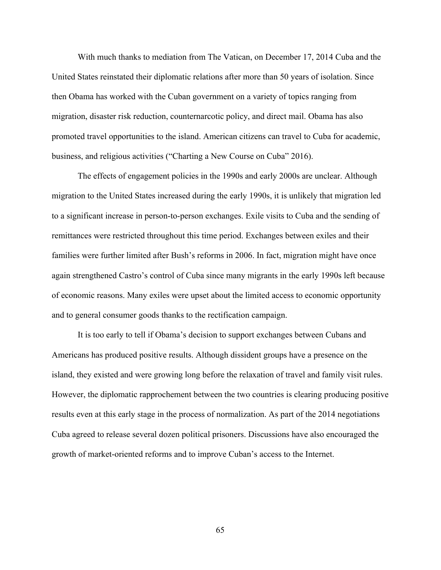With much thanks to mediation from The Vatican, on December 17, 2014 Cuba and the United States reinstated their diplomatic relations after more than 50 years of isolation. Since then Obama has worked with the Cuban government on a variety of topics ranging from migration, disaster risk reduction, counternarcotic policy, and direct mail. Obama has also promoted travel opportunities to the island. American citizens can travel to Cuba for academic, business, and religious activities ("Charting a New Course on Cuba" 2016).

The effects of engagement policies in the 1990s and early 2000s are unclear. Although migration to the United States increased during the early 1990s, it is unlikely that migration led to a significant increase in person-to-person exchanges. Exile visits to Cuba and the sending of remittances were restricted throughout this time period. Exchanges between exiles and their families were further limited after Bush's reforms in 2006. In fact, migration might have once again strengthened Castro's control of Cuba since many migrants in the early 1990s left because of economic reasons. Many exiles were upset about the limited access to economic opportunity and to general consumer goods thanks to the rectification campaign.

It is too early to tell if Obama's decision to support exchanges between Cubans and Americans has produced positive results. Although dissident groups have a presence on the island, they existed and were growing long before the relaxation of travel and family visit rules. However, the diplomatic rapprochement between the two countries is clearing producing positive results even at this early stage in the process of normalization. As part of the 2014 negotiations Cuba agreed to release several dozen political prisoners. Discussions have also encouraged the growth of market-oriented reforms and to improve Cuban's access to the Internet.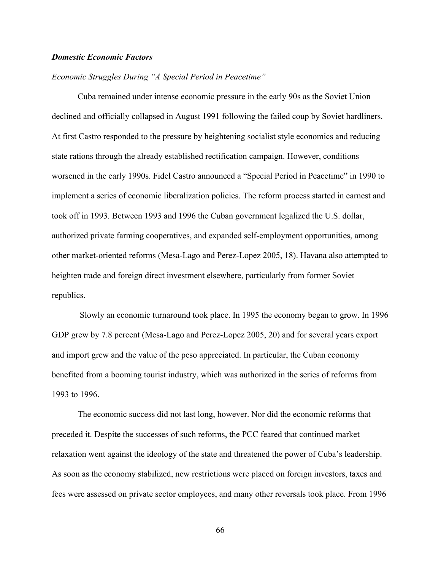# *Domestic Economic Factors*

# *Economic Struggles During "A Special Period in Peacetime"*

Cuba remained under intense economic pressure in the early 90s as the Soviet Union declined and officially collapsed in August 1991 following the failed coup by Soviet hardliners. At first Castro responded to the pressure by heightening socialist style economics and reducing state rations through the already established rectification campaign. However, conditions worsened in the early 1990s. Fidel Castro announced a "Special Period in Peacetime" in 1990 to implement a series of economic liberalization policies. The reform process started in earnest and took off in 1993. Between 1993 and 1996 the Cuban government legalized the U.S. dollar, authorized private farming cooperatives, and expanded self-employment opportunities, among other market-oriented reforms (Mesa-Lago and Perez-Lopez 2005, 18). Havana also attempted to heighten trade and foreign direct investment elsewhere, particularly from former Soviet republics.

Slowly an economic turnaround took place. In 1995 the economy began to grow. In 1996 GDP grew by 7.8 percent (Mesa-Lago and Perez-Lopez 2005, 20) and for several years export and import grew and the value of the peso appreciated. In particular, the Cuban economy benefited from a booming tourist industry, which was authorized in the series of reforms from 1993 to 1996.

The economic success did not last long, however. Nor did the economic reforms that preceded it. Despite the successes of such reforms, the PCC feared that continued market relaxation went against the ideology of the state and threatened the power of Cuba's leadership. As soon as the economy stabilized, new restrictions were placed on foreign investors, taxes and fees were assessed on private sector employees, and many other reversals took place. From 1996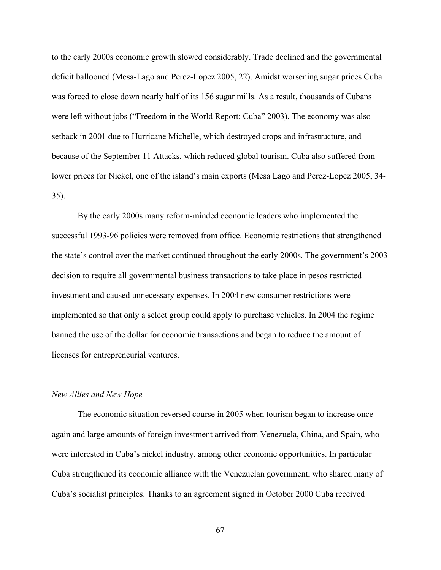to the early 2000s economic growth slowed considerably. Trade declined and the governmental deficit ballooned (Mesa-Lago and Perez-Lopez 2005, 22). Amidst worsening sugar prices Cuba was forced to close down nearly half of its 156 sugar mills. As a result, thousands of Cubans were left without jobs ("Freedom in the World Report: Cuba" 2003). The economy was also setback in 2001 due to Hurricane Michelle, which destroyed crops and infrastructure, and because of the September 11 Attacks, which reduced global tourism. Cuba also suffered from lower prices for Nickel, one of the island's main exports (Mesa Lago and Perez-Lopez 2005, 34- 35).

By the early 2000s many reform-minded economic leaders who implemented the successful 1993-96 policies were removed from office. Economic restrictions that strengthened the state's control over the market continued throughout the early 2000s. The government's 2003 decision to require all governmental business transactions to take place in pesos restricted investment and caused unnecessary expenses. In 2004 new consumer restrictions were implemented so that only a select group could apply to purchase vehicles. In 2004 the regime banned the use of the dollar for economic transactions and began to reduce the amount of licenses for entrepreneurial ventures.

#### *New Allies and New Hope*

The economic situation reversed course in 2005 when tourism began to increase once again and large amounts of foreign investment arrived from Venezuela, China, and Spain, who were interested in Cuba's nickel industry, among other economic opportunities. In particular Cuba strengthened its economic alliance with the Venezuelan government, who shared many of Cuba's socialist principles. Thanks to an agreement signed in October 2000 Cuba received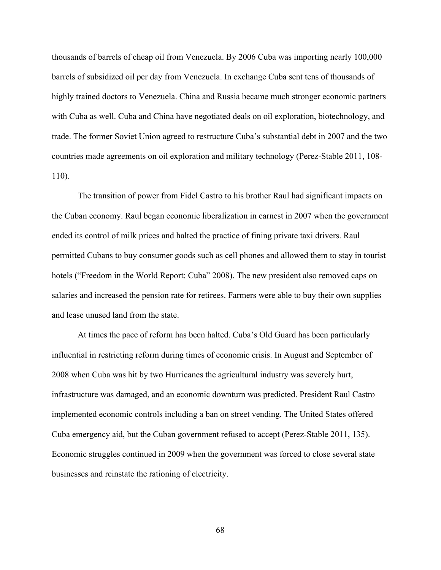thousands of barrels of cheap oil from Venezuela. By 2006 Cuba was importing nearly 100,000 barrels of subsidized oil per day from Venezuela. In exchange Cuba sent tens of thousands of highly trained doctors to Venezuela. China and Russia became much stronger economic partners with Cuba as well. Cuba and China have negotiated deals on oil exploration, biotechnology, and trade. The former Soviet Union agreed to restructure Cuba's substantial debt in 2007 and the two countries made agreements on oil exploration and military technology (Perez-Stable 2011, 108- 110).

The transition of power from Fidel Castro to his brother Raul had significant impacts on the Cuban economy. Raul began economic liberalization in earnest in 2007 when the government ended its control of milk prices and halted the practice of fining private taxi drivers. Raul permitted Cubans to buy consumer goods such as cell phones and allowed them to stay in tourist hotels ("Freedom in the World Report: Cuba" 2008). The new president also removed caps on salaries and increased the pension rate for retirees. Farmers were able to buy their own supplies and lease unused land from the state.

At times the pace of reform has been halted. Cuba's Old Guard has been particularly influential in restricting reform during times of economic crisis. In August and September of 2008 when Cuba was hit by two Hurricanes the agricultural industry was severely hurt, infrastructure was damaged, and an economic downturn was predicted. President Raul Castro implemented economic controls including a ban on street vending. The United States offered Cuba emergency aid, but the Cuban government refused to accept (Perez-Stable 2011, 135). Economic struggles continued in 2009 when the government was forced to close several state businesses and reinstate the rationing of electricity.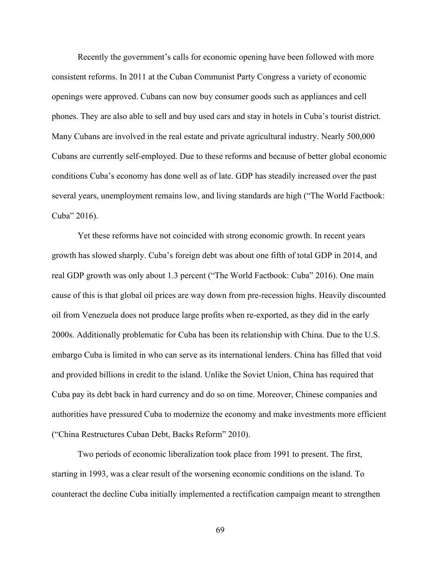Recently the government's calls for economic opening have been followed with more consistent reforms. In 2011 at the Cuban Communist Party Congress a variety of economic openings were approved. Cubans can now buy consumer goods such as appliances and cell phones. They are also able to sell and buy used cars and stay in hotels in Cuba's tourist district. Many Cubans are involved in the real estate and private agricultural industry. Nearly 500,000 Cubans are currently self-employed. Due to these reforms and because of better global economic conditions Cuba's economy has done well as of late. GDP has steadily increased over the past several years, unemployment remains low, and living standards are high ("The World Factbook: Cuba" 2016).

Yet these reforms have not coincided with strong economic growth. In recent years growth has slowed sharply. Cuba's foreign debt was about one fifth of total GDP in 2014, and real GDP growth was only about 1.3 percent ("The World Factbook: Cuba" 2016). One main cause of this is that global oil prices are way down from pre-recession highs. Heavily discounted oil from Venezuela does not produce large profits when re-exported, as they did in the early 2000s. Additionally problematic for Cuba has been its relationship with China. Due to the U.S. embargo Cuba is limited in who can serve as its international lenders. China has filled that void and provided billions in credit to the island. Unlike the Soviet Union, China has required that Cuba pay its debt back in hard currency and do so on time. Moreover, Chinese companies and authorities have pressured Cuba to modernize the economy and make investments more efficient ("China Restructures Cuban Debt, Backs Reform" 2010).

Two periods of economic liberalization took place from 1991 to present. The first, starting in 1993, was a clear result of the worsening economic conditions on the island. To counteract the decline Cuba initially implemented a rectification campaign meant to strengthen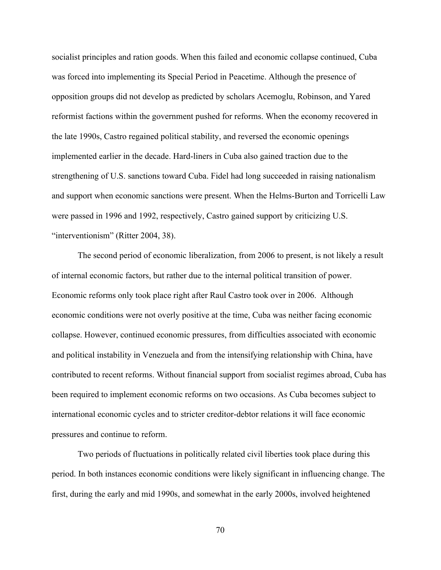socialist principles and ration goods. When this failed and economic collapse continued, Cuba was forced into implementing its Special Period in Peacetime. Although the presence of opposition groups did not develop as predicted by scholars Acemoglu, Robinson, and Yared reformist factions within the government pushed for reforms. When the economy recovered in the late 1990s, Castro regained political stability, and reversed the economic openings implemented earlier in the decade. Hard-liners in Cuba also gained traction due to the strengthening of U.S. sanctions toward Cuba. Fidel had long succeeded in raising nationalism and support when economic sanctions were present. When the Helms-Burton and Torricelli Law were passed in 1996 and 1992, respectively, Castro gained support by criticizing U.S. "interventionism" (Ritter 2004, 38).

The second period of economic liberalization, from 2006 to present, is not likely a result of internal economic factors, but rather due to the internal political transition of power. Economic reforms only took place right after Raul Castro took over in 2006. Although economic conditions were not overly positive at the time, Cuba was neither facing economic collapse. However, continued economic pressures, from difficulties associated with economic and political instability in Venezuela and from the intensifying relationship with China, have contributed to recent reforms. Without financial support from socialist regimes abroad, Cuba has been required to implement economic reforms on two occasions. As Cuba becomes subject to international economic cycles and to stricter creditor-debtor relations it will face economic pressures and continue to reform.

Two periods of fluctuations in politically related civil liberties took place during this period. In both instances economic conditions were likely significant in influencing change. The first, during the early and mid 1990s, and somewhat in the early 2000s, involved heightened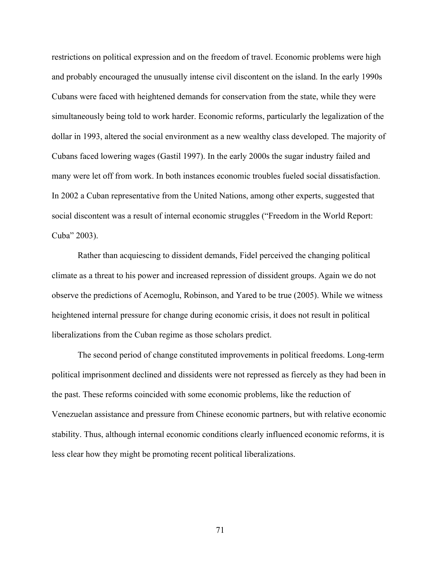restrictions on political expression and on the freedom of travel. Economic problems were high and probably encouraged the unusually intense civil discontent on the island. In the early 1990s Cubans were faced with heightened demands for conservation from the state, while they were simultaneously being told to work harder. Economic reforms, particularly the legalization of the dollar in 1993, altered the social environment as a new wealthy class developed. The majority of Cubans faced lowering wages (Gastil 1997). In the early 2000s the sugar industry failed and many were let off from work. In both instances economic troubles fueled social dissatisfaction. In 2002 a Cuban representative from the United Nations, among other experts, suggested that social discontent was a result of internal economic struggles ("Freedom in the World Report: Cuba" 2003).

Rather than acquiescing to dissident demands, Fidel perceived the changing political climate as a threat to his power and increased repression of dissident groups. Again we do not observe the predictions of Acemoglu, Robinson, and Yared to be true (2005). While we witness heightened internal pressure for change during economic crisis, it does not result in political liberalizations from the Cuban regime as those scholars predict.

The second period of change constituted improvements in political freedoms. Long-term political imprisonment declined and dissidents were not repressed as fiercely as they had been in the past. These reforms coincided with some economic problems, like the reduction of Venezuelan assistance and pressure from Chinese economic partners, but with relative economic stability. Thus, although internal economic conditions clearly influenced economic reforms, it is less clear how they might be promoting recent political liberalizations.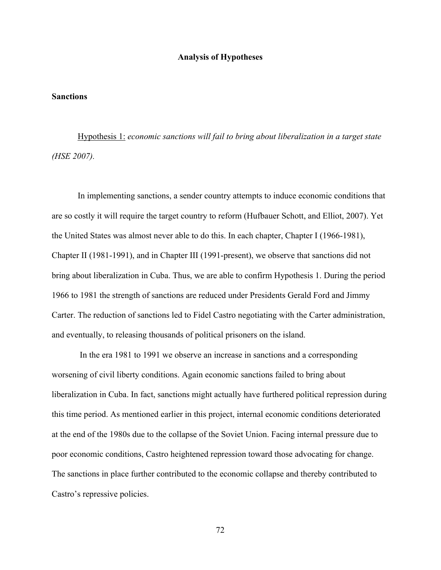## **Analysis of Hypotheses**

# **Sanctions**

Hypothesis 1: *economic sanctions will fail to bring about liberalization in a target state (HSE 2007).* 

In implementing sanctions, a sender country attempts to induce economic conditions that are so costly it will require the target country to reform (Hufbauer Schott, and Elliot, 2007). Yet the United States was almost never able to do this. In each chapter, Chapter I (1966-1981), Chapter II (1981-1991), and in Chapter III (1991-present), we observe that sanctions did not bring about liberalization in Cuba. Thus, we are able to confirm Hypothesis 1. During the period 1966 to 1981 the strength of sanctions are reduced under Presidents Gerald Ford and Jimmy Carter. The reduction of sanctions led to Fidel Castro negotiating with the Carter administration, and eventually, to releasing thousands of political prisoners on the island.

In the era 1981 to 1991 we observe an increase in sanctions and a corresponding worsening of civil liberty conditions. Again economic sanctions failed to bring about liberalization in Cuba. In fact, sanctions might actually have furthered political repression during this time period. As mentioned earlier in this project, internal economic conditions deteriorated at the end of the 1980s due to the collapse of the Soviet Union. Facing internal pressure due to poor economic conditions, Castro heightened repression toward those advocating for change. The sanctions in place further contributed to the economic collapse and thereby contributed to Castro's repressive policies.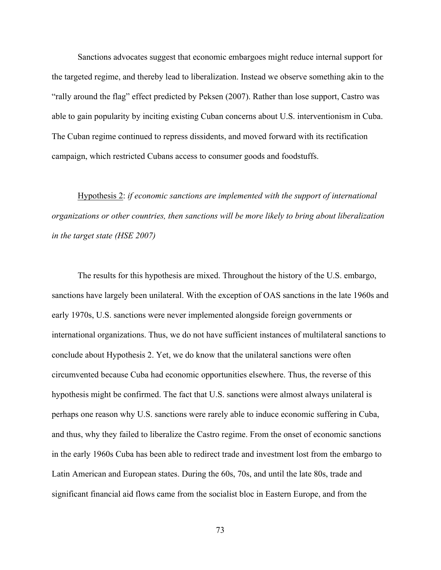Sanctions advocates suggest that economic embargoes might reduce internal support for the targeted regime, and thereby lead to liberalization. Instead we observe something akin to the "rally around the flag" effect predicted by Peksen (2007). Rather than lose support, Castro was able to gain popularity by inciting existing Cuban concerns about U.S. interventionism in Cuba. The Cuban regime continued to repress dissidents, and moved forward with its rectification campaign, which restricted Cubans access to consumer goods and foodstuffs.

Hypothesis 2: *if economic sanctions are implemented with the support of international organizations or other countries, then sanctions will be more likely to bring about liberalization in the target state (HSE 2007)*

The results for this hypothesis are mixed. Throughout the history of the U.S. embargo, sanctions have largely been unilateral. With the exception of OAS sanctions in the late 1960s and early 1970s, U.S. sanctions were never implemented alongside foreign governments or international organizations. Thus, we do not have sufficient instances of multilateral sanctions to conclude about Hypothesis 2. Yet, we do know that the unilateral sanctions were often circumvented because Cuba had economic opportunities elsewhere. Thus, the reverse of this hypothesis might be confirmed. The fact that U.S. sanctions were almost always unilateral is perhaps one reason why U.S. sanctions were rarely able to induce economic suffering in Cuba, and thus, why they failed to liberalize the Castro regime. From the onset of economic sanctions in the early 1960s Cuba has been able to redirect trade and investment lost from the embargo to Latin American and European states. During the 60s, 70s, and until the late 80s, trade and significant financial aid flows came from the socialist bloc in Eastern Europe, and from the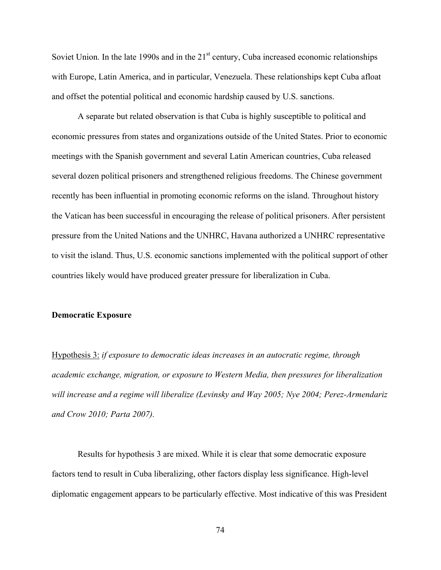Soviet Union. In the late 1990s and in the  $21<sup>st</sup>$  century, Cuba increased economic relationships with Europe, Latin America, and in particular, Venezuela. These relationships kept Cuba afloat and offset the potential political and economic hardship caused by U.S. sanctions.

A separate but related observation is that Cuba is highly susceptible to political and economic pressures from states and organizations outside of the United States. Prior to economic meetings with the Spanish government and several Latin American countries, Cuba released several dozen political prisoners and strengthened religious freedoms. The Chinese government recently has been influential in promoting economic reforms on the island. Throughout history the Vatican has been successful in encouraging the release of political prisoners. After persistent pressure from the United Nations and the UNHRC, Havana authorized a UNHRC representative to visit the island. Thus, U.S. economic sanctions implemented with the political support of other countries likely would have produced greater pressure for liberalization in Cuba.

#### **Democratic Exposure**

Hypothesis 3: *if exposure to democratic ideas increases in an autocratic regime, through academic exchange, migration, or exposure to Western Media, then pressures for liberalization will increase and a regime will liberalize (Levinsky and Way 2005; Nye 2004; Perez-Armendariz and Crow 2010; Parta 2007).* 

Results for hypothesis 3 are mixed. While it is clear that some democratic exposure factors tend to result in Cuba liberalizing, other factors display less significance. High-level diplomatic engagement appears to be particularly effective. Most indicative of this was President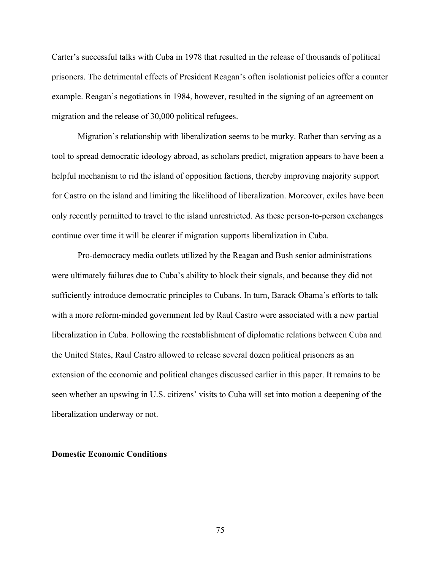Carter's successful talks with Cuba in 1978 that resulted in the release of thousands of political prisoners. The detrimental effects of President Reagan's often isolationist policies offer a counter example. Reagan's negotiations in 1984, however, resulted in the signing of an agreement on migration and the release of 30,000 political refugees.

Migration's relationship with liberalization seems to be murky. Rather than serving as a tool to spread democratic ideology abroad, as scholars predict, migration appears to have been a helpful mechanism to rid the island of opposition factions, thereby improving majority support for Castro on the island and limiting the likelihood of liberalization. Moreover, exiles have been only recently permitted to travel to the island unrestricted. As these person-to-person exchanges continue over time it will be clearer if migration supports liberalization in Cuba.

Pro-democracy media outlets utilized by the Reagan and Bush senior administrations were ultimately failures due to Cuba's ability to block their signals, and because they did not sufficiently introduce democratic principles to Cubans. In turn, Barack Obama's efforts to talk with a more reform-minded government led by Raul Castro were associated with a new partial liberalization in Cuba. Following the reestablishment of diplomatic relations between Cuba and the United States, Raul Castro allowed to release several dozen political prisoners as an extension of the economic and political changes discussed earlier in this paper. It remains to be seen whether an upswing in U.S. citizens' visits to Cuba will set into motion a deepening of the liberalization underway or not.

## **Domestic Economic Conditions**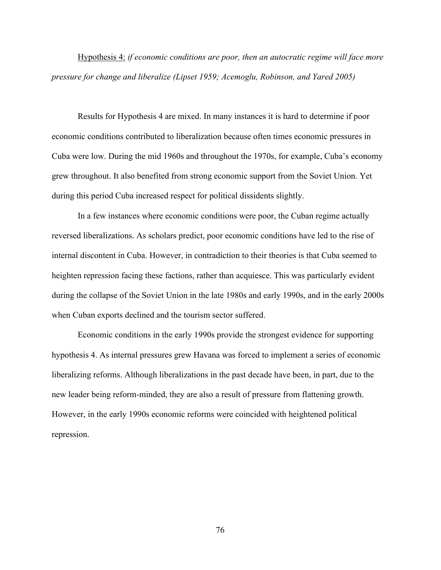Hypothesis 4: *if economic conditions are poor, then an autocratic regime will face more pressure for change and liberalize (Lipset 1959; Acemoglu, Robinson, and Yared 2005)*

Results for Hypothesis 4 are mixed. In many instances it is hard to determine if poor economic conditions contributed to liberalization because often times economic pressures in Cuba were low. During the mid 1960s and throughout the 1970s, for example, Cuba's economy grew throughout. It also benefited from strong economic support from the Soviet Union. Yet during this period Cuba increased respect for political dissidents slightly.

In a few instances where economic conditions were poor, the Cuban regime actually reversed liberalizations. As scholars predict, poor economic conditions have led to the rise of internal discontent in Cuba. However, in contradiction to their theories is that Cuba seemed to heighten repression facing these factions, rather than acquiesce. This was particularly evident during the collapse of the Soviet Union in the late 1980s and early 1990s, and in the early 2000s when Cuban exports declined and the tourism sector suffered.

Economic conditions in the early 1990s provide the strongest evidence for supporting hypothesis 4. As internal pressures grew Havana was forced to implement a series of economic liberalizing reforms. Although liberalizations in the past decade have been, in part, due to the new leader being reform-minded, they are also a result of pressure from flattening growth. However, in the early 1990s economic reforms were coincided with heightened political repression.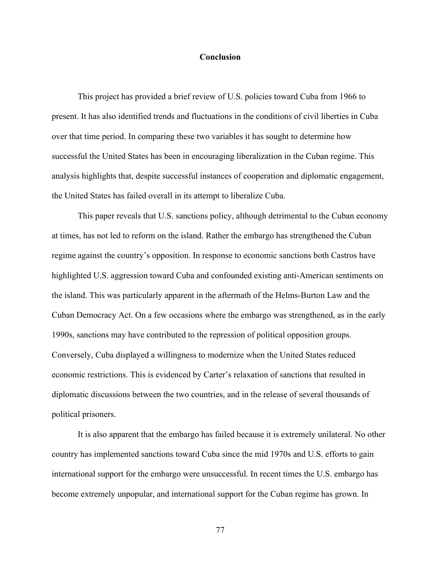## **Conclusion**

This project has provided a brief review of U.S. policies toward Cuba from 1966 to present. It has also identified trends and fluctuations in the conditions of civil liberties in Cuba over that time period. In comparing these two variables it has sought to determine how successful the United States has been in encouraging liberalization in the Cuban regime. This analysis highlights that, despite successful instances of cooperation and diplomatic engagement, the United States has failed overall in its attempt to liberalize Cuba.

This paper reveals that U.S. sanctions policy, although detrimental to the Cuban economy at times, has not led to reform on the island. Rather the embargo has strengthened the Cuban regime against the country's opposition. In response to economic sanctions both Castros have highlighted U.S. aggression toward Cuba and confounded existing anti-American sentiments on the island. This was particularly apparent in the aftermath of the Helms-Burton Law and the Cuban Democracy Act. On a few occasions where the embargo was strengthened, as in the early 1990s, sanctions may have contributed to the repression of political opposition groups. Conversely, Cuba displayed a willingness to modernize when the United States reduced economic restrictions. This is evidenced by Carter's relaxation of sanctions that resulted in diplomatic discussions between the two countries, and in the release of several thousands of political prisoners.

It is also apparent that the embargo has failed because it is extremely unilateral. No other country has implemented sanctions toward Cuba since the mid 1970s and U.S. efforts to gain international support for the embargo were unsuccessful. In recent times the U.S. embargo has become extremely unpopular, and international support for the Cuban regime has grown. In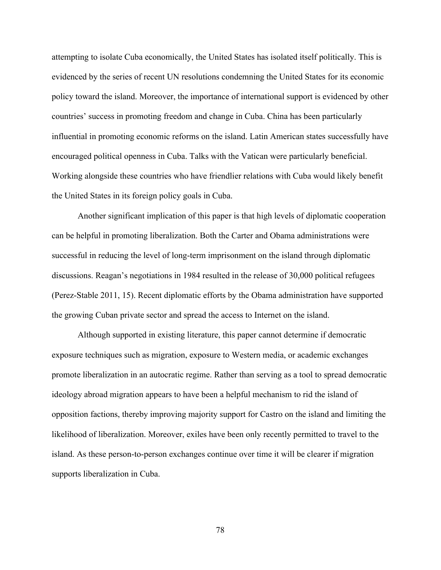attempting to isolate Cuba economically, the United States has isolated itself politically. This is evidenced by the series of recent UN resolutions condemning the United States for its economic policy toward the island. Moreover, the importance of international support is evidenced by other countries' success in promoting freedom and change in Cuba. China has been particularly influential in promoting economic reforms on the island. Latin American states successfully have encouraged political openness in Cuba. Talks with the Vatican were particularly beneficial. Working alongside these countries who have friendlier relations with Cuba would likely benefit the United States in its foreign policy goals in Cuba.

Another significant implication of this paper is that high levels of diplomatic cooperation can be helpful in promoting liberalization. Both the Carter and Obama administrations were successful in reducing the level of long-term imprisonment on the island through diplomatic discussions. Reagan's negotiations in 1984 resulted in the release of 30,000 political refugees (Perez-Stable 2011, 15). Recent diplomatic efforts by the Obama administration have supported the growing Cuban private sector and spread the access to Internet on the island.

Although supported in existing literature, this paper cannot determine if democratic exposure techniques such as migration, exposure to Western media, or academic exchanges promote liberalization in an autocratic regime. Rather than serving as a tool to spread democratic ideology abroad migration appears to have been a helpful mechanism to rid the island of opposition factions, thereby improving majority support for Castro on the island and limiting the likelihood of liberalization. Moreover, exiles have been only recently permitted to travel to the island. As these person-to-person exchanges continue over time it will be clearer if migration supports liberalization in Cuba.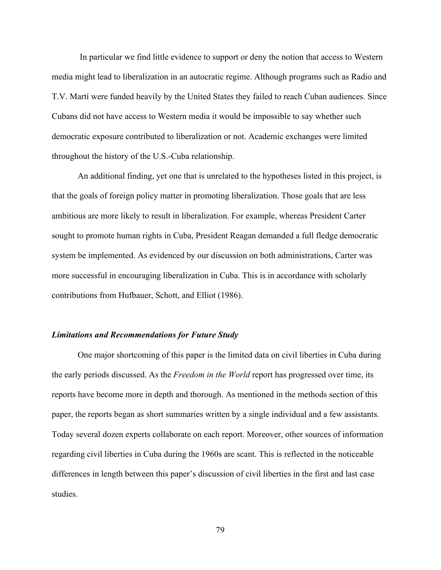In particular we find little evidence to support or deny the notion that access to Western media might lead to liberalization in an autocratic regime. Although programs such as Radio and T.V. Martí were funded heavily by the United States they failed to reach Cuban audiences. Since Cubans did not have access to Western media it would be impossible to say whether such democratic exposure contributed to liberalization or not. Academic exchanges were limited throughout the history of the U.S.-Cuba relationship.

An additional finding, yet one that is unrelated to the hypotheses listed in this project, is that the goals of foreign policy matter in promoting liberalization. Those goals that are less ambitious are more likely to result in liberalization. For example, whereas President Carter sought to promote human rights in Cuba, President Reagan demanded a full fledge democratic system be implemented. As evidenced by our discussion on both administrations, Carter was more successful in encouraging liberalization in Cuba. This is in accordance with scholarly contributions from Hufbauer, Schott, and Elliot (1986).

## *Limitations and Recommendations for Future Study*

One major shortcoming of this paper is the limited data on civil liberties in Cuba during the early periods discussed. As the *Freedom in the World* report has progressed over time, its reports have become more in depth and thorough. As mentioned in the methods section of this paper, the reports began as short summaries written by a single individual and a few assistants. Today several dozen experts collaborate on each report. Moreover, other sources of information regarding civil liberties in Cuba during the 1960s are scant. This is reflected in the noticeable differences in length between this paper's discussion of civil liberties in the first and last case studies.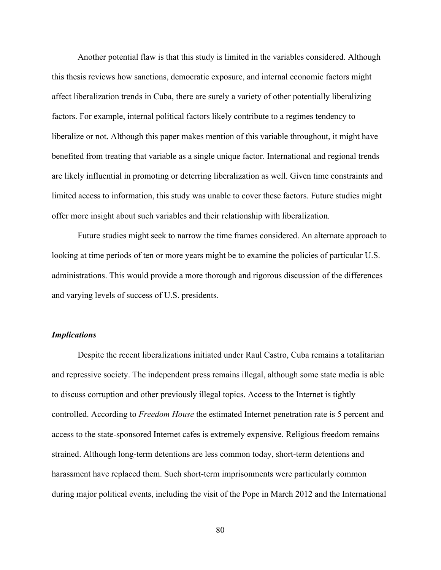Another potential flaw is that this study is limited in the variables considered. Although this thesis reviews how sanctions, democratic exposure, and internal economic factors might affect liberalization trends in Cuba, there are surely a variety of other potentially liberalizing factors. For example, internal political factors likely contribute to a regimes tendency to liberalize or not. Although this paper makes mention of this variable throughout, it might have benefited from treating that variable as a single unique factor. International and regional trends are likely influential in promoting or deterring liberalization as well. Given time constraints and limited access to information, this study was unable to cover these factors. Future studies might offer more insight about such variables and their relationship with liberalization.

Future studies might seek to narrow the time frames considered. An alternate approach to looking at time periods of ten or more years might be to examine the policies of particular U.S. administrations. This would provide a more thorough and rigorous discussion of the differences and varying levels of success of U.S. presidents.

## *Implications*

Despite the recent liberalizations initiated under Raul Castro, Cuba remains a totalitarian and repressive society. The independent press remains illegal, although some state media is able to discuss corruption and other previously illegal topics. Access to the Internet is tightly controlled. According to *Freedom House* the estimated Internet penetration rate is 5 percent and access to the state-sponsored Internet cafes is extremely expensive. Religious freedom remains strained. Although long-term detentions are less common today, short-term detentions and harassment have replaced them. Such short-term imprisonments were particularly common during major political events, including the visit of the Pope in March 2012 and the International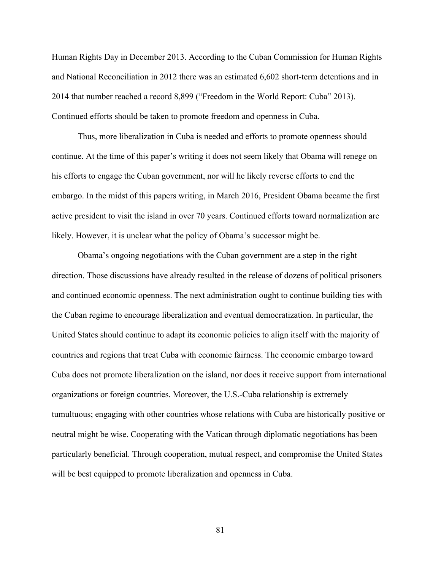Human Rights Day in December 2013. According to the Cuban Commission for Human Rights and National Reconciliation in 2012 there was an estimated 6,602 short-term detentions and in 2014 that number reached a record 8,899 ("Freedom in the World Report: Cuba" 2013). Continued efforts should be taken to promote freedom and openness in Cuba.

Thus, more liberalization in Cuba is needed and efforts to promote openness should continue. At the time of this paper's writing it does not seem likely that Obama will renege on his efforts to engage the Cuban government, nor will he likely reverse efforts to end the embargo. In the midst of this papers writing, in March 2016, President Obama became the first active president to visit the island in over 70 years. Continued efforts toward normalization are likely. However, it is unclear what the policy of Obama's successor might be.

Obama's ongoing negotiations with the Cuban government are a step in the right direction. Those discussions have already resulted in the release of dozens of political prisoners and continued economic openness. The next administration ought to continue building ties with the Cuban regime to encourage liberalization and eventual democratization. In particular, the United States should continue to adapt its economic policies to align itself with the majority of countries and regions that treat Cuba with economic fairness. The economic embargo toward Cuba does not promote liberalization on the island, nor does it receive support from international organizations or foreign countries. Moreover, the U.S.-Cuba relationship is extremely tumultuous; engaging with other countries whose relations with Cuba are historically positive or neutral might be wise. Cooperating with the Vatican through diplomatic negotiations has been particularly beneficial. Through cooperation, mutual respect, and compromise the United States will be best equipped to promote liberalization and openness in Cuba.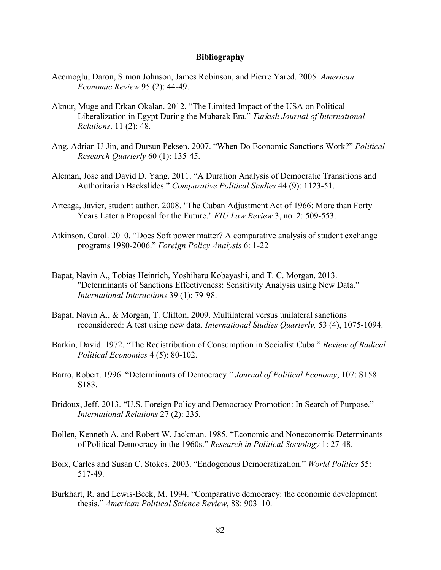#### **Bibliography**

- Acemoglu, Daron, Simon Johnson, James Robinson, and Pierre Yared. 2005. *American Economic Review* 95 (2): 44-49.
- Aknur, Muge and Erkan Okalan. 2012. "The Limited Impact of the USA on Political Liberalization in Egypt During the Mubarak Era." *Turkish Journal of International Relations*. 11 (2): 48.
- Ang, Adrian U-Jin, and Dursun Peksen. 2007. "When Do Economic Sanctions Work?" *Political Research Quarterly* 60 (1): 135-45.
- Aleman, Jose and David D. Yang. 2011. "A Duration Analysis of Democratic Transitions and Authoritarian Backslides." *Comparative Political Studies* 44 (9): 1123-51.
- Arteaga, Javier, student author. 2008. "The Cuban Adjustment Act of 1966: More than Forty Years Later a Proposal for the Future." *FIU Law Review* 3, no. 2: 509-553.
- Atkinson, Carol. 2010. "Does Soft power matter? A comparative analysis of student exchange programs 1980-2006." *Foreign Policy Analysis* 6: 1-22
- Bapat, Navin A., Tobias Heinrich, Yoshiharu Kobayashi, and T. C. Morgan. 2013. "Determinants of Sanctions Effectiveness: Sensitivity Analysis using New Data." *International Interactions* 39 (1): 79-98.
- Bapat, Navin A., & Morgan, T. Clifton. 2009. Multilateral versus unilateral sanctions reconsidered: A test using new data. *International Studies Quarterly,* 53 (4), 1075-1094.
- Barkin, David. 1972. "The Redistribution of Consumption in Socialist Cuba." *Review of Radical Political Economics* 4 (5): 80-102.
- Barro, Robert. 1996. "Determinants of Democracy." *Journal of Political Economy*, 107: S158– S183.
- Bridoux, Jeff. 2013. "U.S. Foreign Policy and Democracy Promotion: In Search of Purpose." *International Relations* 27 (2): 235.
- Bollen, Kenneth A. and Robert W. Jackman. 1985. "Economic and Noneconomic Determinants of Political Democracy in the 1960s." *Research in Political Sociology* 1: 27-48.
- Boix, Carles and Susan C. Stokes. 2003. "Endogenous Democratization." *World Politics* 55: 517-49.
- Burkhart, R. and Lewis-Beck, M. 1994. "Comparative democracy: the economic development thesis." *American Political Science Review*, 88: 903–10.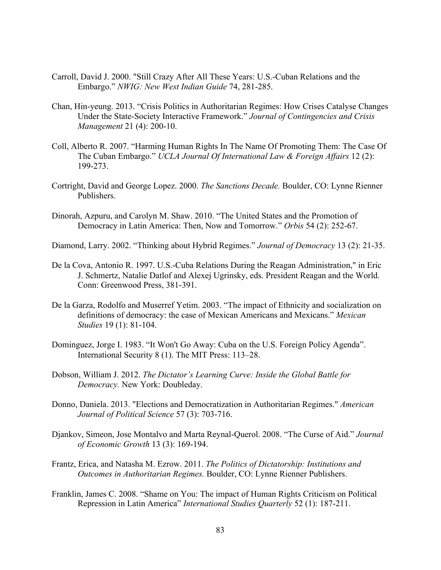- Carroll, David J. 2000. "Still Crazy After All These Years: U.S.-Cuban Relations and the Embargo." *NWIG: New West Indian Guide* 74, 281-285.
- Chan, Hin-yeung. 2013. "Crisis Politics in Authoritarian Regimes: How Crises Catalyse Changes Under the State-Society Interactive Framework." *Journal of Contingencies and Crisis Management* 21 (4): 200-10.
- Coll, Alberto R. 2007. "Harming Human Rights In The Name Of Promoting Them: The Case Of The Cuban Embargo." *UCLA Journal Of International Law & Foreign Affairs* 12 (2): 199-273.
- Cortright, David and George Lopez. 2000. *The Sanctions Decade.* Boulder, CO: Lynne Rienner Publishers.
- Dinorah, Azpuru, and Carolyn M. Shaw. 2010. "The United States and the Promotion of Democracy in Latin America: Then, Now and Tomorrow." *Orbis* 54 (2): 252-67.
- Diamond, Larry. 2002. "Thinking about Hybrid Regimes." *Journal of Democracy* 13 (2): 21-35.
- De la Cova, Antonio R. 1997. U.S.-Cuba Relations During the Reagan Administration," in Eric J. Schmertz, Natalie Datlof and Alexej Ugrinsky, eds. President Reagan and the World. Conn: Greenwood Press, 381-391.
- De la Garza, Rodolfo and Muserref Yetim. 2003. "The impact of Ethnicity and socialization on definitions of democracy: the case of Mexican Americans and Mexicans." *Mexican Studies* 19 (1): 81-104.
- Dominguez, Jorge I. 1983. "It Won't Go Away: Cuba on the U.S. Foreign Policy Agenda". International Security 8 (1). The MIT Press: 113–28.
- Dobson, William J. 2012. *The Dictator's Learning Curve: Inside the Global Battle for Democracy.* New York: Doubleday.
- Donno, Daniela. 2013. "Elections and Democratization in Authoritarian Regimes." *American Journal of Political Science* 57 (3): 703-716.
- Djankov, Simeon, Jose Montalvo and Marta Reynal-Querol. 2008. "The Curse of Aid." *Journal of Economic Growth* 13 (3): 169-194.
- Frantz, Erica, and Natasha M. Ezrow. 2011. *The Politics of Dictatorship: Institutions and Outcomes in Authoritarian Regimes.* Boulder, CO: Lynne Rienner Publishers.
- Franklin, James C. 2008. "Shame on You: The impact of Human Rights Criticism on Political Repression in Latin America" *International Studies Quarterly* 52 (1): 187-211.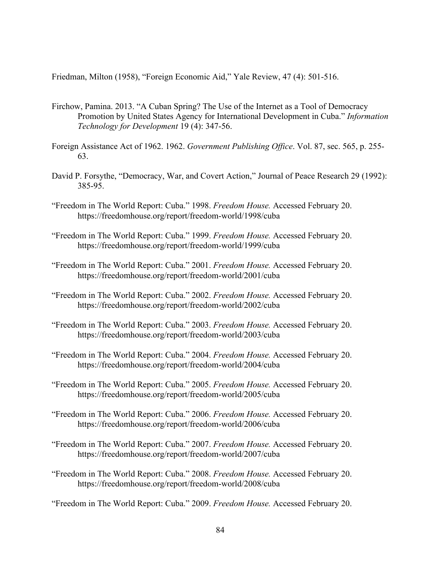Friedman, Milton (1958), "Foreign Economic Aid," Yale Review, 47 (4): 501-516.

- Firchow, Pamina. 2013. "A Cuban Spring? The Use of the Internet as a Tool of Democracy Promotion by United States Agency for International Development in Cuba." *Information Technology for Development* 19 (4): 347-56.
- Foreign Assistance Act of 1962. 1962. *Government Publishing Office*. Vol. 87, sec. 565, p. 255- 63.
- David P. Forsythe, "Democracy, War, and Covert Action," Journal of Peace Research 29 (1992): 385-95.
- "Freedom in The World Report: Cuba." 1998. *Freedom House.* Accessed February 20. https://freedomhouse.org/report/freedom-world/1998/cuba
- "Freedom in The World Report: Cuba." 1999. *Freedom House.* Accessed February 20. https://freedomhouse.org/report/freedom-world/1999/cuba
- "Freedom in The World Report: Cuba." 2001. *Freedom House.* Accessed February 20. https://freedomhouse.org/report/freedom-world/2001/cuba
- "Freedom in The World Report: Cuba." 2002. *Freedom House.* Accessed February 20. https://freedomhouse.org/report/freedom-world/2002/cuba
- "Freedom in The World Report: Cuba." 2003. *Freedom House.* Accessed February 20. https://freedomhouse.org/report/freedom-world/2003/cuba
- "Freedom in The World Report: Cuba." 2004. *Freedom House.* Accessed February 20. https://freedomhouse.org/report/freedom-world/2004/cuba
- "Freedom in The World Report: Cuba." 2005. *Freedom House.* Accessed February 20. https://freedomhouse.org/report/freedom-world/2005/cuba
- "Freedom in The World Report: Cuba." 2006. *Freedom House.* Accessed February 20. https://freedomhouse.org/report/freedom-world/2006/cuba
- "Freedom in The World Report: Cuba." 2007. *Freedom House.* Accessed February 20. https://freedomhouse.org/report/freedom-world/2007/cuba
- "Freedom in The World Report: Cuba." 2008. *Freedom House.* Accessed February 20. https://freedomhouse.org/report/freedom-world/2008/cuba

"Freedom in The World Report: Cuba." 2009. *Freedom House.* Accessed February 20.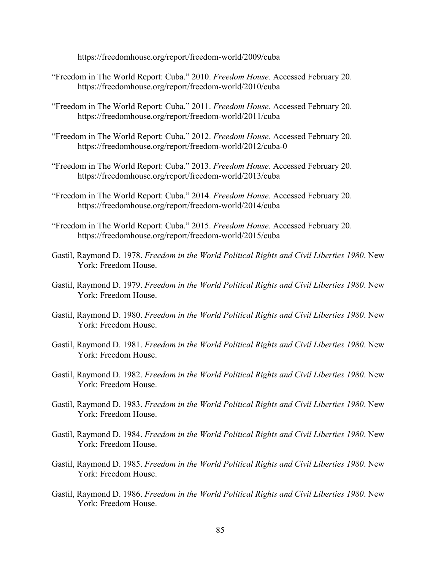https://freedomhouse.org/report/freedom-world/2009/cuba

- "Freedom in The World Report: Cuba." 2010. *Freedom House.* Accessed February 20. https://freedomhouse.org/report/freedom-world/2010/cuba
- "Freedom in The World Report: Cuba." 2011. *Freedom House.* Accessed February 20. https://freedomhouse.org/report/freedom-world/2011/cuba
- "Freedom in The World Report: Cuba." 2012. *Freedom House.* Accessed February 20. https://freedomhouse.org/report/freedom-world/2012/cuba-0
- "Freedom in The World Report: Cuba." 2013. *Freedom House.* Accessed February 20. https://freedomhouse.org/report/freedom-world/2013/cuba
- "Freedom in The World Report: Cuba." 2014. *Freedom House.* Accessed February 20. https://freedomhouse.org/report/freedom-world/2014/cuba
- "Freedom in The World Report: Cuba." 2015. *Freedom House.* Accessed February 20. https://freedomhouse.org/report/freedom-world/2015/cuba
- Gastil, Raymond D. 1978. *Freedom in the World Political Rights and Civil Liberties 1980*. New York: Freedom House.
- Gastil, Raymond D. 1979. *Freedom in the World Political Rights and Civil Liberties 1980*. New York: Freedom House.
- Gastil, Raymond D. 1980. *Freedom in the World Political Rights and Civil Liberties 1980*. New York: Freedom House.
- Gastil, Raymond D. 1981. *Freedom in the World Political Rights and Civil Liberties 1980*. New York: Freedom House.
- Gastil, Raymond D. 1982. *Freedom in the World Political Rights and Civil Liberties 1980*. New York: Freedom House.
- Gastil, Raymond D. 1983. *Freedom in the World Political Rights and Civil Liberties 1980*. New York: Freedom House.
- Gastil, Raymond D. 1984. *Freedom in the World Political Rights and Civil Liberties 1980*. New York: Freedom House.
- Gastil, Raymond D. 1985. *Freedom in the World Political Rights and Civil Liberties 1980*. New York: Freedom House.
- Gastil, Raymond D. 1986. *Freedom in the World Political Rights and Civil Liberties 1980*. New York: Freedom House.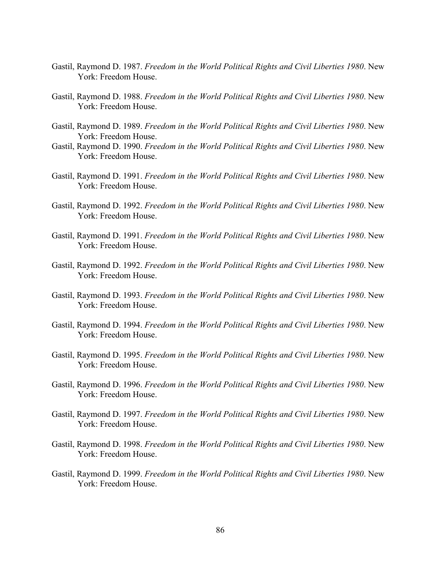- Gastil, Raymond D. 1987. *Freedom in the World Political Rights and Civil Liberties 1980*. New York: Freedom House.
- Gastil, Raymond D. 1988. *Freedom in the World Political Rights and Civil Liberties 1980*. New York: Freedom House.
- Gastil, Raymond D. 1989. *Freedom in the World Political Rights and Civil Liberties 1980*. New York: Freedom House.
- Gastil, Raymond D. 1990. *Freedom in the World Political Rights and Civil Liberties 1980*. New York: Freedom House.
- Gastil, Raymond D. 1991. *Freedom in the World Political Rights and Civil Liberties 1980*. New York: Freedom House.
- Gastil, Raymond D. 1992. *Freedom in the World Political Rights and Civil Liberties 1980*. New York: Freedom House.
- Gastil, Raymond D. 1991. *Freedom in the World Political Rights and Civil Liberties 1980*. New York: Freedom House.
- Gastil, Raymond D. 1992. *Freedom in the World Political Rights and Civil Liberties 1980*. New York: Freedom House.
- Gastil, Raymond D. 1993. *Freedom in the World Political Rights and Civil Liberties 1980*. New York: Freedom House.
- Gastil, Raymond D. 1994. *Freedom in the World Political Rights and Civil Liberties 1980*. New York: Freedom House.
- Gastil, Raymond D. 1995. *Freedom in the World Political Rights and Civil Liberties 1980*. New York: Freedom House.
- Gastil, Raymond D. 1996. *Freedom in the World Political Rights and Civil Liberties 1980*. New York: Freedom House.
- Gastil, Raymond D. 1997. *Freedom in the World Political Rights and Civil Liberties 1980*. New York: Freedom House.
- Gastil, Raymond D. 1998. *Freedom in the World Political Rights and Civil Liberties 1980*. New York: Freedom House.
- Gastil, Raymond D. 1999. *Freedom in the World Political Rights and Civil Liberties 1980*. New York: Freedom House.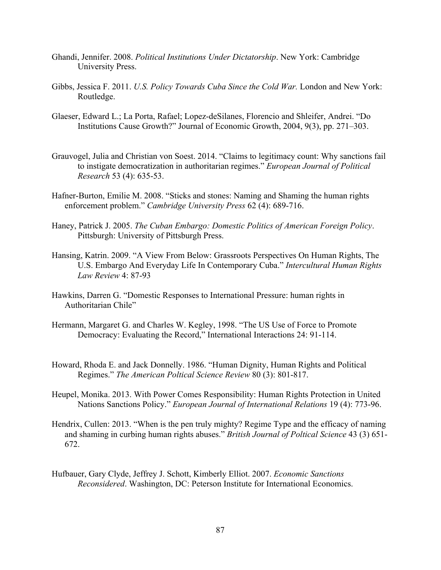- Ghandi, Jennifer. 2008. *Political Institutions Under Dictatorship*. New York: Cambridge University Press.
- Gibbs, Jessica F. 2011. *U.S. Policy Towards Cuba Since the Cold War.* London and New York: Routledge.
- Glaeser, Edward L.; La Porta, Rafael; Lopez-deSilanes, Florencio and Shleifer, Andrei. "Do Institutions Cause Growth?" Journal of Economic Growth, 2004, 9(3), pp. 271–303.
- Grauvogel, Julia and Christian von Soest. 2014. "Claims to legitimacy count: Why sanctions fail to instigate democratization in authoritarian regimes." *European Journal of Political Research* 53 (4): 635-53.
- Hafner-Burton, Emilie M. 2008. "Sticks and stones: Naming and Shaming the human rights enforcement problem." *Cambridge University Press* 62 (4): 689-716.
- Haney, Patrick J. 2005. *The Cuban Embargo: Domestic Politics of American Foreign Policy*. Pittsburgh: University of Pittsburgh Press.
- Hansing, Katrin. 2009. "A View From Below: Grassroots Perspectives On Human Rights, The U.S. Embargo And Everyday Life In Contemporary Cuba." *Intercultural Human Rights Law Review* 4: 87-93
- Hawkins, Darren G. "Domestic Responses to International Pressure: human rights in Authoritarian Chile"
- Hermann, Margaret G. and Charles W. Kegley, 1998. "The US Use of Force to Promote Democracy: Evaluating the Record," International Interactions 24: 91-114.
- Howard, Rhoda E. and Jack Donnelly. 1986. "Human Dignity, Human Rights and Political Regimes." *The American Poltical Science Review* 80 (3): 801-817.
- Heupel, Monika. 2013. With Power Comes Responsibility: Human Rights Protection in United Nations Sanctions Policy." *European Journal of International Relations* 19 (4): 773-96.
- Hendrix, Cullen: 2013. "When is the pen truly mighty? Regime Type and the efficacy of naming and shaming in curbing human rights abuses." *British Journal of Poltical Science* 43 (3) 651- 672.
- Hufbauer, Gary Clyde, Jeffrey J. Schott, Kimberly Elliot. 2007. *Economic Sanctions Reconsidered*. Washington, DC: Peterson Institute for International Economics.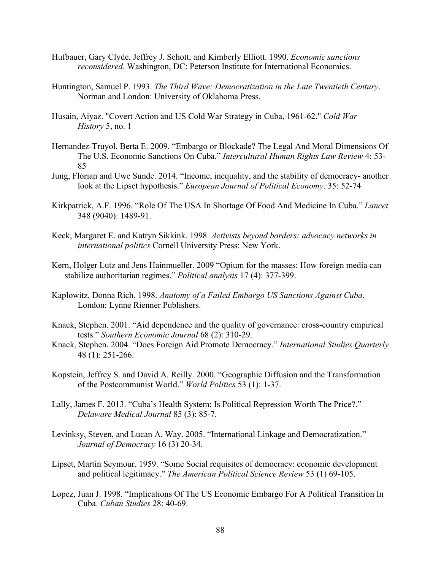- Hufbauer, Gary Clyde, Jeffrey J. Schott, and Kimberly Elliott. 1990. *Economic sanctions reconsidered*. Washington, DC: Peterson Institute for International Economics.
- Huntington, Samuel P. 1993. *The Third Wave: Democratization in the Late Twentieth Century*. Norman and London: University of Oklahoma Press.
- Husain, Aiyaz. "Covert Action and US Cold War Strategy in Cuba, 1961-62." *Cold War History* 5, no. 1
- Hernandez-Truyol, Berta E. 2009. "Embargo or Blockade? The Legal And Moral Dimensions Of The U.S. Economic Sanctions On Cuba." *Intercultural Human Rights Law Review* 4: 53- 85
- Jung, Florian and Uwe Sunde. 2014. "Income, inequality, and the stability of democracy- another look at the Lipset hypothesis." *European Journal of Political Economy*. 35: 52-74
- Kirkpatrick, A.F. 1996. "Role Of The USA In Shortage Of Food And Medicine In Cuba." *Lancet*  348 (9040): 1489-91.
- Keck, Margaret E. and Katryn Sikkink. 1998. *Activists beyond borders: advocacy networks in international politics* Cornell University Press: New York.
- Kern, Holger Lutz and Jens Hainmueller. 2009 "Opium for the masses: How foreign media can stabilize authoritarian regimes." *Political analysis* 17 (4): 377-399.
- Kaplowitz, Donna Rich. 1998. *Anatomy of a Failed Embargo US Sanctions Against Cuba*. London: Lynne Rienner Publishers.
- Knack, Stephen. 2001. "Aid dependence and the quality of governance: cross-country empirical tests." *Southern Economic Journal* 68 (2): 310-29.
- Knack, Stephen. 2004. "Does Foreign Aid Promote Democracy." *International Studies Quarterly*  48 (1): 251-266.
- Kopstein, Jeffrey S. and David A. Reilly. 2000. "Geographic Diffusion and the Transformation of the Postcommunist World." *World Politics* 53 (1): 1-37.
- Lally, James F. 2013. "Cuba's Health System: Is Political Repression Worth The Price?." *Delaware Medical Journal* 85 (3): 85-7.
- Levinksy, Steven, and Lucan A. Way. 2005. "International Linkage and Democratization." *Journal of Democracy* 16 (3) 20-34.
- Lipset, Martin Seymour. 1959. "Some Social requisites of democracy: economic development and political legitimacy." *The American Political Science Review* 53 (1) 69-105.
- Lopez, Juan J. 1998. "Implications Of The US Economic Embargo For A Political Transition In Cuba. *Cuban Studies* 28: 40-69.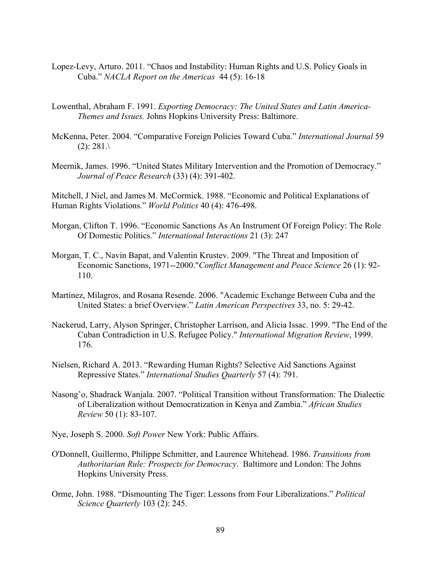- Lopez-Levy, Arturo. 2011. "Chaos and Instability: Human Rights and U.S. Policy Goals in Cuba." *NACLA Report on the Americas* 44 (5): 16-18
- Lowenthal, Abraham F. 1991. *Exporting Democracy: The United States and Latin America-Themes and Issues.* Johns Hopkins University Press: Baltimore.
- McKenna, Peter. 2004. "Comparative Foreign Policies Toward Cuba." *International Journal* 59  $(2): 281.$
- Meernik, James. 1996. "United States Military Intervention and the Promotion of Democracy." *Journal of Peace Research* (33) (4): 391-402.

Mitchell, J Niel, and James M. McCormick. 1988. "Economic and Political Explanations of Human Rights Violations." *World Politics* 40 (4): 476-498.

- Morgan, Clifton T. 1996. "Economic Sanctions As An Instrument Of Foreign Policy: The Role Of Domestic Politics." *International Interactions* 21 (3): 247
- Morgan, T. C., Navin Bapat, and Valentin Krustev. 2009. "The Threat and Imposition of Economic Sanctions, 1971--2000."*Conflict Management and Peace Science* 26 (1): 92- 110.
- Martínez, Milagros, and Rosana Resende. 2006. "Academic Exchange Between Cuba and the United States: a brief Overview." *Latin American Perspectives* 33, no. 5: 29-42.
- Nackerud, Larry, Alyson Springer, Christopher Larrison, and Alicia Issac. 1999. "The End of the Cuban Contradiction in U.S. Refugee Policy." *International Migration Review*, 1999. 176.
- Nielsen, Richard A. 2013. "Rewarding Human Rights? Selective Aid Sanctions Against Repressive States." *International Studies Quarterly* 57 (4): 791.
- Nasong'o, Shadrack Wanjala. 2007. "Political Transition without Transformation: The Dialectic of Liberalization without Democratization in Kenya and Zambia." *African Studies Review* 50 (1): 83-107.
- Nye, Joseph S. 2000. *Soft Power* New York: Public Affairs.
- O'Donnell, Guillermo, Philippe Schmitter, and Laurence Whitehead. 1986. *Transitions from Authoritarian Rule: Prospects for Democracy*. Baltimore and London: The Johns Hopkins University Press.
- Orme, John. 1988. "Dismounting The Tiger: Lessons from Four Liberalizations." *Political Science Quarterly* 103 (2): 245.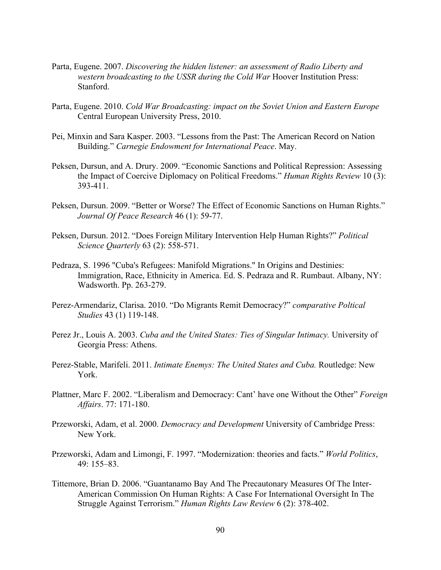- Parta, Eugene. 2007. *Discovering the hidden listener: an assessment of Radio Liberty and western broadcasting to the USSR during the Cold War Hoover Institution Press:* Stanford.
- Parta, Eugene. 2010. *Cold War Broadcasting: impact on the Soviet Union and Eastern Europe*  Central European University Press, 2010.
- Pei, Minxin and Sara Kasper. 2003. "Lessons from the Past: The American Record on Nation Building." *Carnegie Endowment for International Peace*. May.
- Peksen, Dursun, and A. Drury. 2009. "Economic Sanctions and Political Repression: Assessing the Impact of Coercive Diplomacy on Political Freedoms." *Human Rights Review* 10 (3): 393-411.
- Peksen, Dursun. 2009. "Better or Worse? The Effect of Economic Sanctions on Human Rights." *Journal Of Peace Research* 46 (1): 59-77.
- Peksen, Dursun. 2012. "Does Foreign Military Intervention Help Human Rights?" *Political Science Quarterly* 63 (2): 558-571.
- Pedraza, S. 1996 "Cuba's Refugees: Manifold Migrations." In Origins and Destinies: Immigration, Race, Ethnicity in America. Ed. S. Pedraza and R. Rumbaut. Albany, NY: Wadsworth. Pp. 263-279.
- Perez-Armendariz, Clarisa. 2010. "Do Migrants Remit Democracy?" *comparative Poltical Studies* 43 (1) 119-148.
- Perez Jr., Louis A. 2003. *Cuba and the United States: Ties of Singular Intimacy.* University of Georgia Press: Athens.
- Perez-Stable, Marifeli. 2011. *Intimate Enemys: The United States and Cuba.* Routledge: New York.
- Plattner, Marc F. 2002. "Liberalism and Democracy: Cant' have one Without the Other" *Foreign Affairs*. 77: 171-180.
- Przeworski, Adam, et al. 2000. *Democracy and Development* University of Cambridge Press: New York.
- Przeworski, Adam and Limongi, F. 1997. "Modernization: theories and facts." *World Politics*, 49: 155–83.
- Tittemore, Brian D. 2006. "Guantanamo Bay And The Precautonary Measures Of The Inter-American Commission On Human Rights: A Case For International Oversight In The Struggle Against Terrorism." *Human Rights Law Review* 6 (2): 378-402.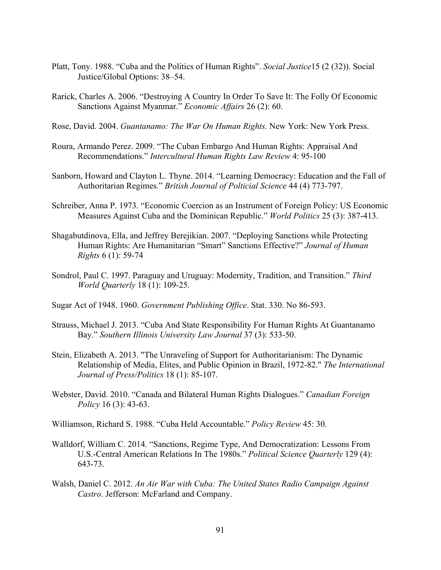- Platt, Tony. 1988. "Cuba and the Politics of Human Rights". *Social Justice*15 (2 (32)). Social Justice/Global Options: 38–54.
- Rarick, Charles A. 2006. "Destroying A Country In Order To Save It: The Folly Of Economic Sanctions Against Myanmar." *Economic Affairs* 26 (2): 60.
- Rose, David. 2004. *Guantanamo: The War On Human Rights.* New York: New York Press.
- Roura, Armando Perez. 2009. "The Cuban Embargo And Human Rights: Appraisal And Recommendations." *Intercultural Human Rights Law Review* 4: 95-100
- Sanborn, Howard and Clayton L. Thyne. 2014. "Learning Democracy: Education and the Fall of Authoritarian Regimes." *British Journal of Polticial Science* 44 (4) 773-797.
- Schreiber, Anna P. 1973. "Economic Coercion as an Instrument of Foreign Policy: US Economic Measures Against Cuba and the Dominican Republic." *World Politics* 25 (3): 387-413.
- Shagabutdinova, Ella, and Jeffrey Berejikian. 2007. "Deploying Sanctions while Protecting Human Rights: Are Humanitarian "Smart" Sanctions Effective?" *Journal of Human Rights* 6 (1): 59-74
- Sondrol, Paul C. 1997. Paraguay and Uruguay: Modernity, Tradition, and Transition." *Third World Quarterly* 18 (1): 109-25.
- Sugar Act of 1948. 1960. *Government Publishing Office*. Stat. 330. No 86-593.
- Strauss, Michael J. 2013. "Cuba And State Responsibility For Human Rights At Guantanamo Bay." *Southern Illinois University Law Journal* 37 (3): 533-50.
- Stein, Elizabeth A. 2013. "The Unraveling of Support for Authoritarianism: The Dynamic Relationship of Media, Elites, and Public Opinion in Brazil, 1972-82." *The International Journal of Press/Politics* 18 (1): 85-107.
- Webster, David. 2010. "Canada and Bilateral Human Rights Dialogues." *Canadian Foreign Policy* 16 (3): 43-63.
- Williamson, Richard S. 1988. "Cuba Held Accountable." *Policy Review* 45: 30.
- Walldorf, William C. 2014. "Sanctions, Regime Type, And Democratization: Lessons From U.S.-Central American Relations In The 1980s." *Political Science Quarterly* 129 (4): 643-73.
- Walsh, Daniel C. 2012. *An Air War with Cuba: The United States Radio Campaign Against Castro*. Jefferson: McFarland and Company.